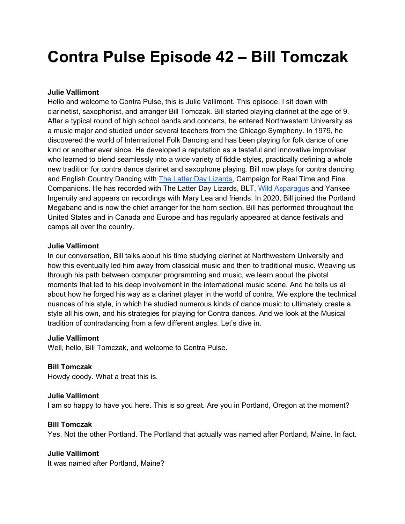# **Contra Pulse Episode 42 – Bill Tomczak**

#### **Julie Vallimont**

Hello and welcome to Contra Pulse, this is Julie Vallimont. This episode, I sit down with clarinetist, saxophonist, and arranger Bill Tomczak. Bill started playing clarinet at the age of 9. After a typical round of high school bands and concerts, he entered Northwestern University as a music major and studied under several teachers from the Chicago Symphony. In 1979, he discovered the world of International Folk Dancing and has been playing for folk dance of one kind or another ever since. He developed a reputation as a tasteful and innovative improviser who learned to blend seamlessly into a wide variety of fiddle styles, practically defining a whole new tradition for contra dance clarinet and saxophone playing. Bill now plays for contra dancing and English Country Dancing with The Latter Day Lizards, Campaign for Real Time and Fine Companions. He has recorded with The Latter Day Lizards, BLT, Wild Asparagus and Yankee Ingenuity and appears on recordings with Mary Lea and friends. In 2020, Bill joined the Portland Megaband and is now the chief arranger for the horn section. Bill has performed throughout the United States and in Canada and Europe and has regularly appeared at dance festivals and camps all over the country.

#### **Julie Vallimont**

In our conversation, Bill talks about his time studying clarinet at Northwestern University and how this eventually led him away from classical music and then to traditional music. Weaving us through his path between computer programming and music, we learn about the pivotal moments that led to his deep involvement in the international music scene. And he tells us all about how he forged his way as a clarinet player in the world of contra. We explore the technical nuances of his style, in which he studied numerous kinds of dance music to ultimately create a style all his own, and his strategies for playing for Contra dances. And we look at the Musical tradition of contradancing from a few different angles. Let's dive in.

## **Julie Vallimont**

Well, hello, Bill Tomczak, and welcome to Contra Pulse.

## **Bill Tomczak**

Howdy doody. What a treat this is.

## **Julie Vallimont**

I am so happy to have you here. This is so great. Are you in Portland, Oregon at the moment?

## **Bill Tomczak**

Yes. Not the other Portland. The Portland that actually was named after Portland, Maine. In fact.

## **Julie Vallimont**

It was named after Portland, Maine?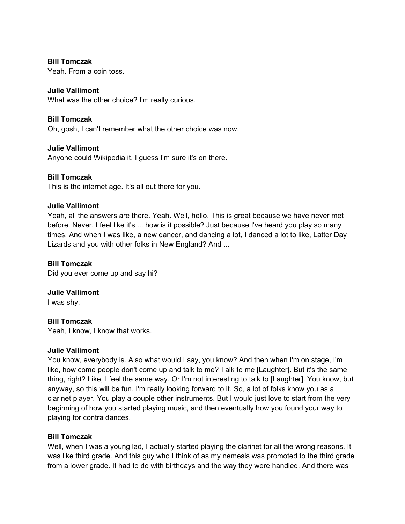#### **Bill Tomczak**

Yeah. From a coin toss.

## **Julie Vallimont**

What was the other choice? I'm really curious.

## **Bill Tomczak**

Oh, gosh, I can't remember what the other choice was now.

## **Julie Vallimont**

Anyone could Wikipedia it. I guess I'm sure it's on there.

## **Bill Tomczak**

This is the internet age. It's all out there for you.

## **Julie Vallimont**

Yeah, all the answers are there. Yeah. Well, hello. This is great because we have never met before. Never. I feel like it's ... how is it possible? Just because I've heard you play so many times. And when I was like, a new dancer, and dancing a lot, I danced a lot to like, Latter Day Lizards and you with other folks in New England? And ...

#### **Bill Tomczak**

Did you ever come up and say hi?

## **Julie Vallimont**

I was shy.

## **Bill Tomczak**

Yeah, I know, I know that works.

## **Julie Vallimont**

You know, everybody is. Also what would I say, you know? And then when I'm on stage, I'm like, how come people don't come up and talk to me? Talk to me [Laughter]. But it's the same thing, right? Like, I feel the same way. Or I'm not interesting to talk to [Laughter]. You know, but anyway, so this will be fun. I'm really looking forward to it. So, a lot of folks know you as a clarinet player. You play a couple other instruments. But I would just love to start from the very beginning of how you started playing music, and then eventually how you found your way to playing for contra dances.

## **Bill Tomczak**

Well, when I was a young lad, I actually started playing the clarinet for all the wrong reasons. It was like third grade. And this guy who I think of as my nemesis was promoted to the third grade from a lower grade. It had to do with birthdays and the way they were handled. And there was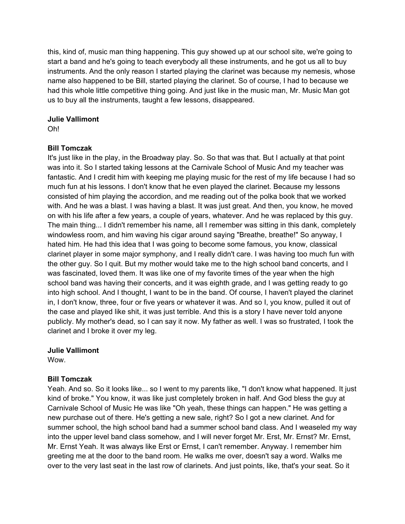this, kind of, music man thing happening. This guy showed up at our school site, we're going to start a band and he's going to teach everybody all these instruments, and he got us all to buy instruments. And the only reason I started playing the clarinet was because my nemesis, whose name also happened to be Bill, started playing the clarinet. So of course, I had to because we had this whole little competitive thing going. And just like in the music man, Mr. Music Man got us to buy all the instruments, taught a few lessons, disappeared.

## **Julie Vallimont**

Oh!

## **Bill Tomczak**

It's just like in the play, in the Broadway play. So. So that was that. But I actually at that point was into it. So I started taking lessons at the Carnivale School of Music And my teacher was fantastic. And I credit him with keeping me playing music for the rest of my life because I had so much fun at his lessons. I don't know that he even played the clarinet. Because my lessons consisted of him playing the accordion, and me reading out of the polka book that we worked with. And he was a blast. I was having a blast. It was just great. And then, you know, he moved on with his life after a few years, a couple of years, whatever. And he was replaced by this guy. The main thing... I didn't remember his name, all I remember was sitting in this dank, completely windowless room, and him waving his cigar around saying "Breathe, breathe!" So anyway, I hated him. He had this idea that I was going to become some famous, you know, classical clarinet player in some major symphony, and I really didn't care. I was having too much fun with the other guy. So I quit. But my mother would take me to the high school band concerts, and I was fascinated, loved them. It was like one of my favorite times of the year when the high school band was having their concerts, and it was eighth grade, and I was getting ready to go into high school. And I thought, I want to be in the band. Of course, I haven't played the clarinet in, I don't know, three, four or five years or whatever it was. And so I, you know, pulled it out of the case and played like shit, it was just terrible. And this is a story I have never told anyone publicly. My mother's dead, so I can say it now. My father as well. I was so frustrated, I took the clarinet and I broke it over my leg.

## **Julie Vallimont**

**Wow.** 

## **Bill Tomczak**

Yeah. And so. So it looks like... so I went to my parents like, "I don't know what happened. It just kind of broke." You know, it was like just completely broken in half. And God bless the guy at Carnivale School of Music He was like "Oh yeah, these things can happen." He was getting a new purchase out of there. He's getting a new sale, right? So I got a new clarinet. And for summer school, the high school band had a summer school band class. And I weaseled my way into the upper level band class somehow, and I will never forget Mr. Erst, Mr. Ernst? Mr. Ernst, Mr. Ernst Yeah. It was always like Erst or Ernst, I can't remember. Anyway. I remember him greeting me at the door to the band room. He walks me over, doesn't say a word. Walks me over to the very last seat in the last row of clarinets. And just points, like, that's your seat. So it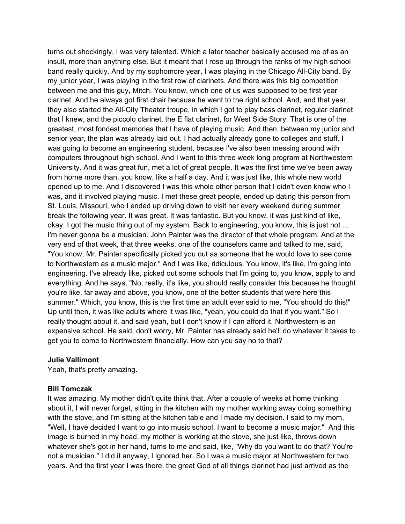turns out shockingly, I was very talented. Which a later teacher basically accused me of as an insult, more than anything else. But it meant that I rose up through the ranks of my high school band really quickly. And by my sophomore year, I was playing in the Chicago All-City band. By my junior year, I was playing in the first row of clarinets. And there was this big competition between me and this guy, Mitch. You know, which one of us was supposed to be first year clarinet. And he always got first chair because he went to the right school. And, and that year, they also started the All-City Theater troupe, in which I got to play bass clarinet, regular clarinet that I knew, and the piccolo clarinet, the E flat clarinet, for West Side Story. That is one of the greatest, most fondest memories that I have of playing music. And then, between my junior and senior year, the plan was already laid out. I had actually already gone to colleges and stuff. I was going to become an engineering student, because I've also been messing around with computers throughout high school. And I went to this three week long program at Northwestern University. And it was great fun, met a lot of great people. It was the first time we've been away from home more than, you know, like a half a day. And it was just like, this whole new world opened up to me. And I discovered I was this whole other person that I didn't even know who I was, and it involved playing music. I met these great people, ended up dating this person from St. Louis, Missouri, who I ended up driving down to visit her every weekend during summer break the following year. It was great. It was fantastic. But you know, it was just kind of like, okay, I got the music thing out of my system. Back to engineering, you know, this is just not ... I'm never gonna be a musician. John Painter was the director of that whole program. And at the very end of that week, that three weeks, one of the counselors came and talked to me, said, "You know, Mr. Painter specifically picked you out as someone that he would love to see come to Northwestern as a music major." And I was like, ridiculous. You know, it's like, I'm going into engineering. I've already like, picked out some schools that I'm going to, you know, apply to and everything. And he says, "No, really, it's like, you should really consider this because he thought you're like, far away and above, you know, one of the better students that were here this summer." Which, you know, this is the first time an adult ever said to me, "You should do this!" Up until then, it was like adults where it was like, "yeah, you could do that if you want." So I really thought about it, and said yeah, but I don't know if I can afford it. Northwestern is an expensive school. He said, don't worry, Mr. Painter has already said he'll do whatever it takes to get you to come to Northwestern financially. How can you say no to that?

#### **Julie Vallimont**

Yeah, that's pretty amazing.

#### **Bill Tomczak**

It was amazing. My mother didn't quite think that. After a couple of weeks at home thinking about it, I will never forget, sitting in the kitchen with my mother working away doing something with the stove, and I'm sitting at the kitchen table and I made my decision. I said to my mom, "Well, I have decided I want to go into music school. I want to become a music major." And this image is burned in my head, my mother is working at the stove, she just like, throws down whatever she's got in her hand, turns to me and said, like, "Why do you want to do that? You're not a musician." I did it anyway, I ignored her. So I was a music major at Northwestern for two years. And the first year I was there, the great God of all things clarinet had just arrived as the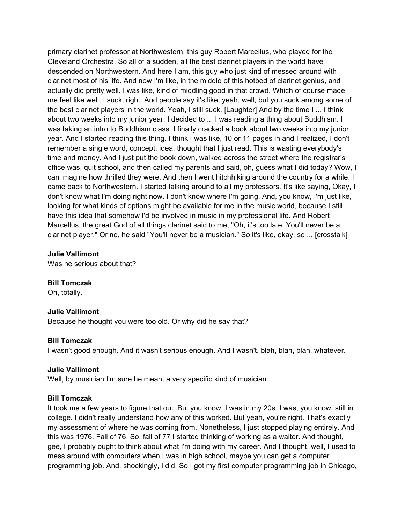primary clarinet professor at Northwestern, this guy Robert Marcellus, who played for the Cleveland Orchestra. So all of a sudden, all the best clarinet players in the world have descended on Northwestern. And here I am, this guy who just kind of messed around with clarinet most of his life. And now I'm like, in the middle of this hotbed of clarinet genius, and actually did pretty well. I was like, kind of middling good in that crowd. Which of course made me feel like well, I suck, right. And people say it's like, yeah, well, but you suck among some of the best clarinet players in the world. Yeah, I still suck. [Laughter] And by the time I ... I think about two weeks into my junior year, I decided to ... I was reading a thing about Buddhism. I was taking an intro to Buddhism class. I finally cracked a book about two weeks into my junior year. And I started reading this thing, I think I was like, 10 or 11 pages in and I realized, I don't remember a single word, concept, idea, thought that I just read. This is wasting everybody's time and money. And I just put the book down, walked across the street where the registrar's office was, quit school, and then called my parents and said, oh, guess what I did today? Wow, I can imagine how thrilled they were. And then I went hitchhiking around the country for a while. I came back to Northwestern. I started talking around to all my professors. It's like saying, Okay, I don't know what I'm doing right now. I don't know where I'm going. And, you know, I'm just like, looking for what kinds of options might be available for me in the music world, because I still have this idea that somehow I'd be involved in music in my professional life. And Robert Marcellus, the great God of all things clarinet said to me, "Oh, it's too late. You'll never be a clarinet player." Or no, he said "You'll never be a musician." So it's like, okay, so ... [crosstalk]

#### **Julie Vallimont**

Was he serious about that?

#### **Bill Tomczak**

Oh, totally.

#### **Julie Vallimont**

Because he thought you were too old. Or why did he say that?

#### **Bill Tomczak**

I wasn't good enough. And it wasn't serious enough. And I wasn't, blah, blah, blah, whatever.

#### **Julie Vallimont**

Well, by musician I'm sure he meant a very specific kind of musician.

#### **Bill Tomczak**

It took me a few years to figure that out. But you know, I was in my 20s. I was, you know, still in college. I didn't really understand how any of this worked. But yeah, you're right. That's exactly my assessment of where he was coming from. Nonetheless, I just stopped playing entirely. And this was 1976. Fall of 76. So, fall of 77 I started thinking of working as a waiter. And thought, gee, I probably ought to think about what I'm doing with my career. And I thought, well, I used to mess around with computers when I was in high school, maybe you can get a computer programming job. And, shockingly, I did. So I got my first computer programming job in Chicago,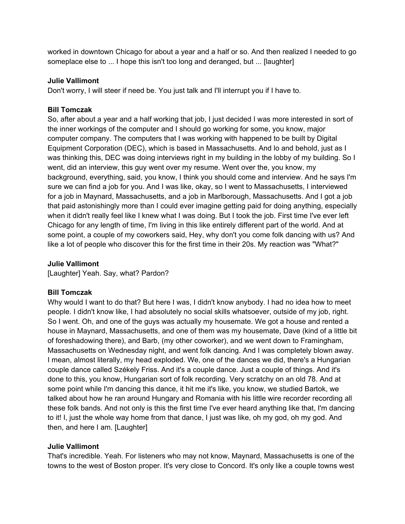worked in downtown Chicago for about a year and a half or so. And then realized I needed to go someplace else to ... I hope this isn't too long and deranged, but ... [laughter]

## **Julie Vallimont**

Don't worry, I will steer if need be. You just talk and I'll interrupt you if I have to.

#### **Bill Tomczak**

So, after about a year and a half working that job, I just decided I was more interested in sort of the inner workings of the computer and I should go working for some, you know, major computer company. The computers that I was working with happened to be built by Digital Equipment Corporation (DEC), which is based in Massachusetts. And lo and behold, just as I was thinking this, DEC was doing interviews right in my building in the lobby of my building. So I went, did an interview, this guy went over my resume. Went over the, you know, my background, everything, said, you know, I think you should come and interview. And he says I'm sure we can find a job for you. And I was like, okay, so I went to Massachusetts, I interviewed for a job in Maynard, Massachusetts, and a job in Marlborough, Massachusetts. And I got a job that paid astonishingly more than I could ever imagine getting paid for doing anything, especially when it didn't really feel like I knew what I was doing. But I took the job. First time I've ever left Chicago for any length of time, I'm living in this like entirely different part of the world. And at some point, a couple of my coworkers said, Hey, why don't you come folk dancing with us? And like a lot of people who discover this for the first time in their 20s. My reaction was "What?"

#### **Julie Vallimont**

[Laughter] Yeah. Say, what? Pardon?

#### **Bill Tomczak**

Why would I want to do that? But here I was, I didn't know anybody. I had no idea how to meet people. I didn't know like, I had absolutely no social skills whatsoever, outside of my job, right. So I went. Oh, and one of the guys was actually my housemate. We got a house and rented a house in Maynard, Massachusetts, and one of them was my housemate, Dave (kind of a little bit of foreshadowing there), and Barb, (my other coworker), and we went down to Framingham, Massachusetts on Wednesday night, and went folk dancing. And I was completely blown away. I mean, almost literally, my head exploded. We, one of the dances we did, there's a Hungarian couple dance called Székely Friss. And it's a couple dance. Just a couple of things. And it's done to this, you know, Hungarian sort of folk recording. Very scratchy on an old 78. And at some point while I'm dancing this dance, it hit me it's like, you know, we studied Bartok, we talked about how he ran around Hungary and Romania with his little wire recorder recording all these folk bands. And not only is this the first time I've ever heard anything like that, I'm dancing to it! I, just the whole way home from that dance, I just was like, oh my god, oh my god. And then, and here I am. [Laughter]

## **Julie Vallimont**

That's incredible. Yeah. For listeners who may not know, Maynard, Massachusetts is one of the towns to the west of Boston proper. It's very close to Concord. It's only like a couple towns west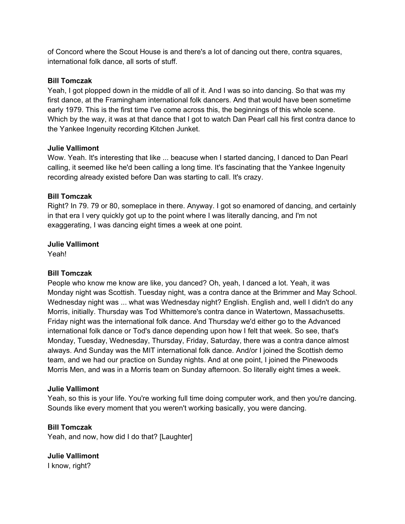of Concord where the Scout House is and there's a lot of dancing out there, contra squares, international folk dance, all sorts of stuff.

## **Bill Tomczak**

Yeah, I got plopped down in the middle of all of it. And I was so into dancing. So that was my first dance, at the Framingham international folk dancers. And that would have been sometime early 1979. This is the first time I've come across this, the beginnings of this whole scene. Which by the way, it was at that dance that I got to watch Dan Pearl call his first contra dance to the Yankee Ingenuity recording Kitchen Junket.

#### **Julie Vallimont**

Wow. Yeah. It's interesting that like ... beacuse when I started dancing, I danced to Dan Pearl calling, it seemed like he'd been calling a long time. It's fascinating that the Yankee Ingenuity recording already existed before Dan was starting to call. It's crazy.

#### **Bill Tomczak**

Right? In 79. 79 or 80, someplace in there. Anyway. I got so enamored of dancing, and certainly in that era I very quickly got up to the point where I was literally dancing, and I'm not exaggerating, I was dancing eight times a week at one point.

#### **Julie Vallimont**

Yeah!

## **Bill Tomczak**

People who know me know are like, you danced? Oh, yeah, I danced a lot. Yeah, it was Monday night was Scottish. Tuesday night, was a contra dance at the Brimmer and May School. Wednesday night was ... what was Wednesday night? English. English and, well I didn't do any Morris, initially. Thursday was Tod Whittemore's contra dance in Watertown, Massachusetts. Friday night was the international folk dance. And Thursday we'd either go to the Advanced international folk dance or Tod's dance depending upon how I felt that week. So see, that's Monday, Tuesday, Wednesday, Thursday, Friday, Saturday, there was a contra dance almost always. And Sunday was the MIT international folk dance. And/or I joined the Scottish demo team, and we had our practice on Sunday nights. And at one point, I joined the Pinewoods Morris Men, and was in a Morris team on Sunday afternoon. So literally eight times a week.

#### **Julie Vallimont**

Yeah, so this is your life. You're working full time doing computer work, and then you're dancing. Sounds like every moment that you weren't working basically, you were dancing.

## **Bill Tomczak**

Yeah, and now, how did I do that? [Laughter]

**Julie Vallimont**  I know, right?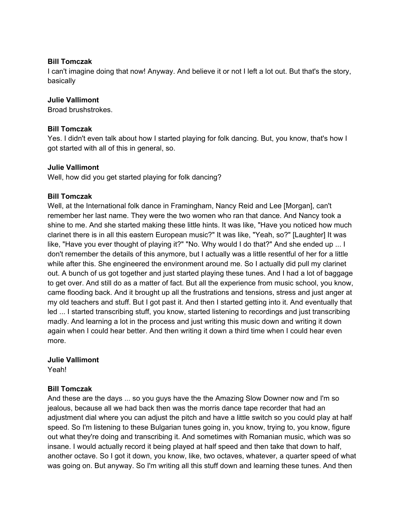#### **Bill Tomczak**

I can't imagine doing that now! Anyway. And believe it or not I left a lot out. But that's the story, basically

#### **Julie Vallimont**

Broad brushstrokes.

#### **Bill Tomczak**

Yes. I didn't even talk about how I started playing for folk dancing. But, you know, that's how I got started with all of this in general, so.

#### **Julie Vallimont**

Well, how did you get started playing for folk dancing?

#### **Bill Tomczak**

Well, at the International folk dance in Framingham, Nancy Reid and Lee [Morgan], can't remember her last name. They were the two women who ran that dance. And Nancy took a shine to me. And she started making these little hints. It was like, "Have you noticed how much clarinet there is in all this eastern European music?" It was like, "Yeah, so?" [Laughter] It was like, "Have you ever thought of playing it?" "No. Why would I do that?" And she ended up ... I don't remember the details of this anymore, but I actually was a little resentful of her for a little while after this. She engineered the environment around me. So I actually did pull my clarinet out. A bunch of us got together and just started playing these tunes. And I had a lot of baggage to get over. And still do as a matter of fact. But all the experience from music school, you know, came flooding back. And it brought up all the frustrations and tensions, stress and just anger at my old teachers and stuff. But I got past it. And then I started getting into it. And eventually that led ... I started transcribing stuff, you know, started listening to recordings and just transcribing madly. And learning a lot in the process and just writing this music down and writing it down again when I could hear better. And then writing it down a third time when I could hear even more.

## **Julie Vallimont**

Yeah!

## **Bill Tomczak**

And these are the days ... so you guys have the the Amazing Slow Downer now and I'm so jealous, because all we had back then was the morris dance tape recorder that had an adjustment dial where you can adjust the pitch and have a little switch so you could play at half speed. So I'm listening to these Bulgarian tunes going in, you know, trying to, you know, figure out what they're doing and transcribing it. And sometimes with Romanian music, which was so insane. I would actually record it being played at half speed and then take that down to half, another octave. So I got it down, you know, like, two octaves, whatever, a quarter speed of what was going on. But anyway. So I'm writing all this stuff down and learning these tunes. And then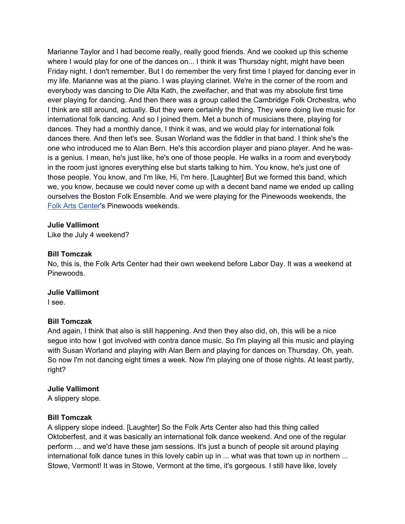Marianne Taylor and I had become really, really good friends. And we cooked up this scheme where I would play for one of the dances on... I think it was Thursday night, might have been Friday night. I don't remember. But I do remember the very first time I played for dancing ever in my life. Marianne was at the piano. I was playing clarinet. We're in the corner of the room and everybody was dancing to Die Alta Kath, the zweifacher, and that was my absolute first time ever playing for dancing. And then there was a group called the Cambridge Folk Orchestra, who I think are still around, actually. But they were certainly the thing. They were doing live music for international folk dancing. And so I joined them. Met a bunch of musicians there, playing for dances. They had a monthly dance, I think it was, and we would play for international folk dances there. And then let's see. Susan Worland was the fiddler in that band. I think she's the one who introduced me to Alan Bern. He's this accordion player and piano player. And he wasis a genius. I mean, he's just like, he's one of those people. He walks in a room and everybody in the room just ignores everything else but starts talking to him. You know, he's just one of those people. You know, and I'm like, Hi, I'm here. [Laughter] But we formed this band, which we, you know, because we could never come up with a decent band name we ended up calling ourselves the Boston Folk Ensemble. And we were playing for the Pinewoods weekends, the Folk Arts Center's Pinewoods weekends.

## **Julie Vallimont**

Like the July 4 weekend?

#### **Bill Tomczak**

No, this is, the Folk Arts Center had their own weekend before Labor Day. It was a weekend at Pinewoods.

#### **Julie Vallimont**

I see.

## **Bill Tomczak**

And again, I think that also is still happening. And then they also did, oh, this will be a nice segue into how I got involved with contra dance music. So I'm playing all this music and playing with Susan Worland and playing with Alan Bern and playing for dances on Thursday. Oh, yeah. So now I'm not dancing eight times a week. Now I'm playing one of those nights. At least partly, right?

## **Julie Vallimont**

A slippery slope.

#### **Bill Tomczak**

A slippery slope indeed. [Laughter] So the Folk Arts Center also had this thing called Oktoberfest, and it was basically an international folk dance weekend. And one of the regular perform ... and we'd have these jam sessions. It's just a bunch of people sit around playing international folk dance tunes in this lovely cabin up in ... what was that town up in northern ... Stowe, Vermont! It was in Stowe, Vermont at the time, it's gorgeous. I still have like, lovely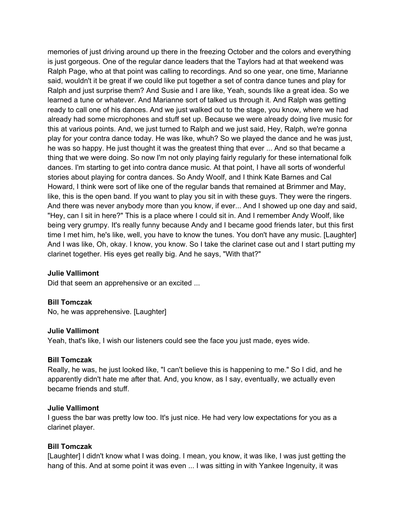memories of just driving around up there in the freezing October and the colors and everything is just gorgeous. One of the regular dance leaders that the Taylors had at that weekend was Ralph Page, who at that point was calling to recordings. And so one year, one time, Marianne said, wouldn't it be great if we could like put together a set of contra dance tunes and play for Ralph and just surprise them? And Susie and I are like, Yeah, sounds like a great idea. So we learned a tune or whatever. And Marianne sort of talked us through it. And Ralph was getting ready to call one of his dances. And we just walked out to the stage, you know, where we had already had some microphones and stuff set up. Because we were already doing live music for this at various points. And, we just turned to Ralph and we just said, Hey, Ralph, we're gonna play for your contra dance today. He was like, whuh? So we played the dance and he was just, he was so happy. He just thought it was the greatest thing that ever ... And so that became a thing that we were doing. So now I'm not only playing fairly regularly for these international folk dances. I'm starting to get into contra dance music. At that point, I have all sorts of wonderful stories about playing for contra dances. So Andy Woolf, and I think Kate Barnes and Cal Howard, I think were sort of like one of the regular bands that remained at Brimmer and May, like, this is the open band. If you want to play you sit in with these guys. They were the ringers. And there was never anybody more than you know, if ever... And I showed up one day and said, "Hey, can I sit in here?" This is a place where I could sit in. And I remember Andy Woolf, like being very grumpy. It's really funny because Andy and I became good friends later, but this first time I met him, he's like, well, you have to know the tunes. You don't have any music. [Laughter] And I was like, Oh, okay. I know, you know. So I take the clarinet case out and I start putting my clarinet together. His eyes get really big. And he says, "With that?"

#### **Julie Vallimont**

Did that seem an apprehensive or an excited ...

#### **Bill Tomczak**

No, he was apprehensive. [Laughter]

#### **Julie Vallimont**

Yeah, that's like, I wish our listeners could see the face you just made, eyes wide.

#### **Bill Tomczak**

Really, he was, he just looked like, "I can't believe this is happening to me." So I did, and he apparently didn't hate me after that. And, you know, as I say, eventually, we actually even became friends and stuff.

#### **Julie Vallimont**

I guess the bar was pretty low too. It's just nice. He had very low expectations for you as a clarinet player.

#### **Bill Tomczak**

[Laughter] I didn't know what I was doing. I mean, you know, it was like, I was just getting the hang of this. And at some point it was even ... I was sitting in with Yankee Ingenuity, it was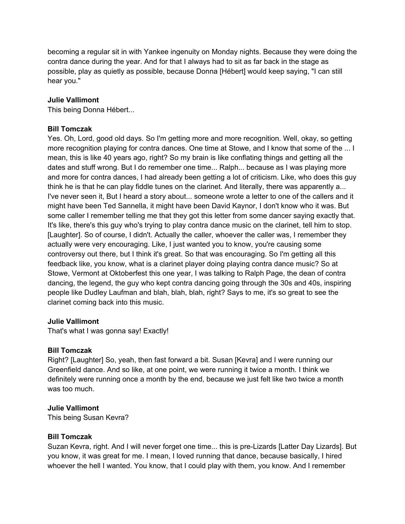becoming a regular sit in with Yankee ingenuity on Monday nights. Because they were doing the contra dance during the year. And for that I always had to sit as far back in the stage as possible, play as quietly as possible, because Donna [Hébert] would keep saying, "I can still hear you."

## **Julie Vallimont**

This being Donna Hébert...

## **Bill Tomczak**

Yes. Oh, Lord, good old days. So I'm getting more and more recognition. Well, okay, so getting more recognition playing for contra dances. One time at Stowe, and I know that some of the ... I mean, this is like 40 years ago, right? So my brain is like conflating things and getting all the dates and stuff wrong. But I do remember one time... Ralph... because as I was playing more and more for contra dances, I had already been getting a lot of criticism. Like, who does this guy think he is that he can play fiddle tunes on the clarinet. And literally, there was apparently a... I've never seen it, But I heard a story about... someone wrote a letter to one of the callers and it might have been Ted Sannella, it might have been David Kaynor, I don't know who it was. But some caller I remember telling me that they got this letter from some dancer saying exactly that. It's like, there's this guy who's trying to play contra dance music on the clarinet, tell him to stop. [Laughter]. So of course, I didn't. Actually the caller, whoever the caller was, I remember they actually were very encouraging. Like, I just wanted you to know, you're causing some controversy out there, but I think it's great. So that was encouraging. So I'm getting all this feedback like, you know, what is a clarinet player doing playing contra dance music? So at Stowe, Vermont at Oktoberfest this one year, I was talking to Ralph Page, the dean of contra dancing, the legend, the guy who kept contra dancing going through the 30s and 40s, inspiring people like Dudley Laufman and blah, blah, blah, right? Says to me, it's so great to see the clarinet coming back into this music.

## **Julie Vallimont**

That's what I was gonna say! Exactly!

## **Bill Tomczak**

Right? [Laughter] So, yeah, then fast forward a bit. Susan [Kevra] and I were running our Greenfield dance. And so like, at one point, we were running it twice a month. I think we definitely were running once a month by the end, because we just felt like two twice a month was too much.

## **Julie Vallimont**

This being Susan Kevra?

#### **Bill Tomczak**

Suzan Kevra, right. And I will never forget one time... this is pre-Lizards [Latter Day Lizards]. But you know, it was great for me. I mean, I loved running that dance, because basically, I hired whoever the hell I wanted. You know, that I could play with them, you know. And I remember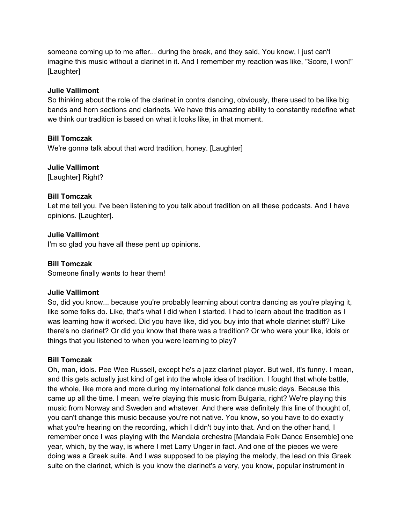someone coming up to me after... during the break, and they said, You know, I just can't imagine this music without a clarinet in it. And I remember my reaction was like, "Score, I won!" [Laughter]

## **Julie Vallimont**

So thinking about the role of the clarinet in contra dancing, obviously, there used to be like big bands and horn sections and clarinets. We have this amazing ability to constantly redefine what we think our tradition is based on what it looks like, in that moment.

## **Bill Tomczak**

We're gonna talk about that word tradition, honey. [Laughter]

#### **Julie Vallimont**

[Laughter] Right?

#### **Bill Tomczak**

Let me tell you. I've been listening to you talk about tradition on all these podcasts. And I have opinions. [Laughter].

#### **Julie Vallimont**

I'm so glad you have all these pent up opinions.

#### **Bill Tomczak**

Someone finally wants to hear them!

#### **Julie Vallimont**

So, did you know... because you're probably learning about contra dancing as you're playing it, like some folks do. Like, that's what I did when I started. I had to learn about the tradition as I was learning how it worked. Did you have like, did you buy into that whole clarinet stuff? Like there's no clarinet? Or did you know that there was a tradition? Or who were your like, idols or things that you listened to when you were learning to play?

#### **Bill Tomczak**

Oh, man, idols. Pee Wee Russell, except he's a jazz clarinet player. But well, it's funny. I mean, and this gets actually just kind of get into the whole idea of tradition. I fought that whole battle, the whole, like more and more during my international folk dance music days. Because this came up all the time. I mean, we're playing this music from Bulgaria, right? We're playing this music from Norway and Sweden and whatever. And there was definitely this line of thought of, you can't change this music because you're not native. You know, so you have to do exactly what you're hearing on the recording, which I didn't buy into that. And on the other hand, I remember once I was playing with the Mandala orchestra [Mandala Folk Dance Ensemble] one year, which, by the way, is where I met Larry Unger in fact. And one of the pieces we were doing was a Greek suite. And I was supposed to be playing the melody, the lead on this Greek suite on the clarinet, which is you know the clarinet's a very, you know, popular instrument in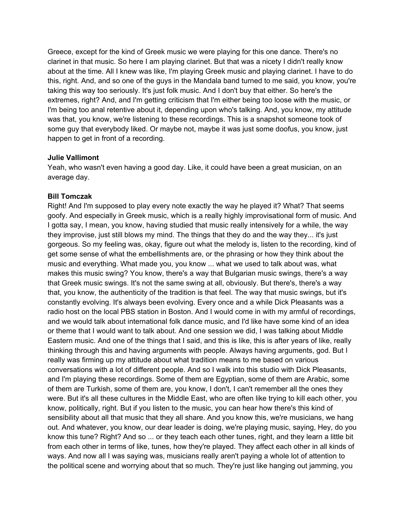Greece, except for the kind of Greek music we were playing for this one dance. There's no clarinet in that music. So here I am playing clarinet. But that was a nicety I didn't really know about at the time. All I knew was like, I'm playing Greek music and playing clarinet. I have to do this, right. And, and so one of the guys in the Mandala band turned to me said, you know, you're taking this way too seriously. It's just folk music. And I don't buy that either. So here's the extremes, right? And, and I'm getting criticism that I'm either being too loose with the music, or I'm being too anal retentive about it, depending upon who's talking. And, you know, my attitude was that, you know, we're listening to these recordings. This is a snapshot someone took of some guy that everybody liked. Or maybe not, maybe it was just some doofus, you know, just happen to get in front of a recording.

#### **Julie Vallimont**

Yeah, who wasn't even having a good day. Like, it could have been a great musician, on an average day.

## **Bill Tomczak**

Right! And I'm supposed to play every note exactly the way he played it? What? That seems goofy. And especially in Greek music, which is a really highly improvisational form of music. And I gotta say, I mean, you know, having studied that music really intensively for a while, the way they improvise, just still blows my mind. The things that they do and the way they... it's just gorgeous. So my feeling was, okay, figure out what the melody is, listen to the recording, kind of get some sense of what the embellishments are, or the phrasing or how they think about the music and everything. What made you, you know ... what we used to talk about was, what makes this music swing? You know, there's a way that Bulgarian music swings, there's a way that Greek music swings. It's not the same swing at all, obviously. But there's, there's a way that, you know, the authenticity of the tradition is that feel. The way that music swings, but it's constantly evolving. It's always been evolving. Every once and a while Dick Pleasants was a radio host on the local PBS station in Boston. And I would come in with my armful of recordings, and we would talk about international folk dance music, and I'd like have some kind of an idea or theme that I would want to talk about. And one session we did, I was talking about Middle Eastern music. And one of the things that I said, and this is like, this is after years of like, really thinking through this and having arguments with people. Always having arguments, god. But I really was firming up my attitude about what tradition means to me based on various conversations with a lot of different people. And so I walk into this studio with Dick Pleasants, and I'm playing these recordings. Some of them are Egyptian, some of them are Arabic, some of them are Turkish, some of them are, you know, I don't, I can't remember all the ones they were. But it's all these cultures in the Middle East, who are often like trying to kill each other, you know, politically, right. But if you listen to the music, you can hear how there's this kind of sensibility about all that music that they all share. And you know this, we're musicians, we hang out. And whatever, you know, our dear leader is doing, we're playing music, saying, Hey, do you know this tune? Right? And so ... or they teach each other tunes, right, and they learn a little bit from each other in terms of like, tunes, how they're played. They affect each other in all kinds of ways. And now all I was saying was, musicians really aren't paying a whole lot of attention to the political scene and worrying about that so much. They're just like hanging out jamming, you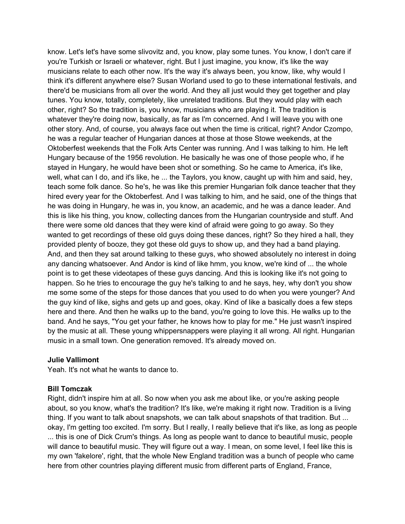know. Let's let's have some slivovitz and, you know, play some tunes. You know, I don't care if you're Turkish or Israeli or whatever, right. But I just imagine, you know, it's like the way musicians relate to each other now. It's the way it's always been, you know, like, why would I think it's different anywhere else? Susan Worland used to go to these international festivals, and there'd be musicians from all over the world. And they all just would they get together and play tunes. You know, totally, completely, like unrelated traditions. But they would play with each other, right? So the tradition is, you know, musicians who are playing it. The tradition is whatever they're doing now, basically, as far as I'm concerned. And I will leave you with one other story. And, of course, you always face out when the time is critical, right? Andor Czompo, he was a regular teacher of Hungarian dances at those at those Stowe weekends, at the Oktoberfest weekends that the Folk Arts Center was running. And I was talking to him. He left Hungary because of the 1956 revolution. He basically he was one of those people who, if he stayed in Hungary, he would have been shot or something. So he came to America, it's like, well, what can I do, and it's like, he ... the Taylors, you know, caught up with him and said, hey, teach some folk dance. So he's, he was like this premier Hungarian folk dance teacher that they hired every year for the Oktoberfest. And I was talking to him, and he said, one of the things that he was doing in Hungary, he was in, you know, an academic, and he was a dance leader. And this is like his thing, you know, collecting dances from the Hungarian countryside and stuff. And there were some old dances that they were kind of afraid were going to go away. So they wanted to get recordings of these old guys doing these dances, right? So they hired a hall, they provided plenty of booze, they got these old guys to show up, and they had a band playing. And, and then they sat around talking to these guys, who showed absolutely no interest in doing any dancing whatsoever. And Andor is kind of like hmm, you know, we're kind of ... the whole point is to get these videotapes of these guys dancing. And this is looking like it's not going to happen. So he tries to encourage the guy he's talking to and he says, hey, why don't you show me some some of the steps for those dances that you used to do when you were younger? And the guy kind of like, sighs and gets up and goes, okay. Kind of like a basically does a few steps here and there. And then he walks up to the band, you're going to love this. He walks up to the band. And he says, "You get your father, he knows how to play for me." He just wasn't inspired by the music at all. These young whippersnappers were playing it all wrong. All right. Hungarian music in a small town. One generation removed. It's already moved on.

#### **Julie Vallimont**

Yeah. It's not what he wants to dance to.

#### **Bill Tomczak**

Right, didn't inspire him at all. So now when you ask me about like, or you're asking people about, so you know, what's the tradition? It's like, we're making it right now. Tradition is a living thing. If you want to talk about snapshots, we can talk about snapshots of that tradition. But ... okay, I'm getting too excited. I'm sorry. But I really, I really believe that it's like, as long as people ... this is one of Dick Crum's things. As long as people want to dance to beautiful music, people will dance to beautiful music. They will figure out a way. I mean, on some level, I feel like this is my own 'fakelore', right, that the whole New England tradition was a bunch of people who came here from other countries playing different music from different parts of England, France,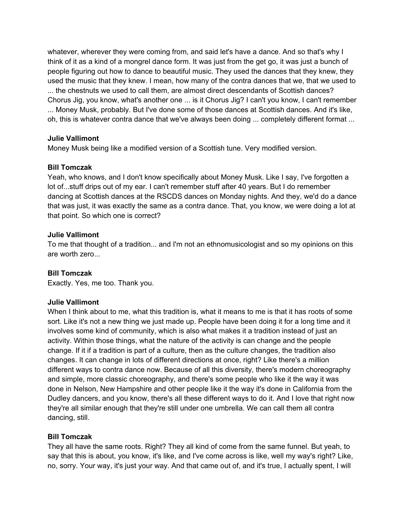whatever, wherever they were coming from, and said let's have a dance. And so that's why I think of it as a kind of a mongrel dance form. It was just from the get go, it was just a bunch of people figuring out how to dance to beautiful music. They used the dances that they knew, they used the music that they knew. I mean, how many of the contra dances that we, that we used to ... the chestnuts we used to call them, are almost direct descendants of Scottish dances? Chorus Jig, you know, what's another one ... is it Chorus Jig? I can't you know, I can't remember ... Money Musk, probably. But I've done some of those dances at Scottish dances. And it's like, oh, this is whatever contra dance that we've always been doing ... completely different format ...

## **Julie Vallimont**

Money Musk being like a modified version of a Scottish tune. Very modified version.

## **Bill Tomczak**

Yeah, who knows, and I don't know specifically about Money Musk. Like I say, I've forgotten a lot of...stuff drips out of my ear. I can't remember stuff after 40 years. But I do remember dancing at Scottish dances at the RSCDS dances on Monday nights. And they, we'd do a dance that was just, it was exactly the same as a contra dance. That, you know, we were doing a lot at that point. So which one is correct?

## **Julie Vallimont**

To me that thought of a tradition... and I'm not an ethnomusicologist and so my opinions on this are worth zero...

## **Bill Tomczak**

Exactly. Yes, me too. Thank you.

## **Julie Vallimont**

When I think about to me, what this tradition is, what it means to me is that it has roots of some sort. Like it's not a new thing we just made up. People have been doing it for a long time and it involves some kind of community, which is also what makes it a tradition instead of just an activity. Within those things, what the nature of the activity is can change and the people change. If it if a tradition is part of a culture, then as the culture changes, the tradition also changes. It can change in lots of different directions at once, right? Like there's a million different ways to contra dance now. Because of all this diversity, there's modern choreography and simple, more classic choreography, and there's some people who like it the way it was done in Nelson, New Hampshire and other people like it the way it's done in California from the Dudley dancers, and you know, there's all these different ways to do it. And I love that right now they're all similar enough that they're still under one umbrella. We can call them all contra dancing, still.

## **Bill Tomczak**

They all have the same roots. Right? They all kind of come from the same funnel. But yeah, to say that this is about, you know, it's like, and I've come across is like, well my way's right? Like, no, sorry. Your way, it's just your way. And that came out of, and it's true, I actually spent, I will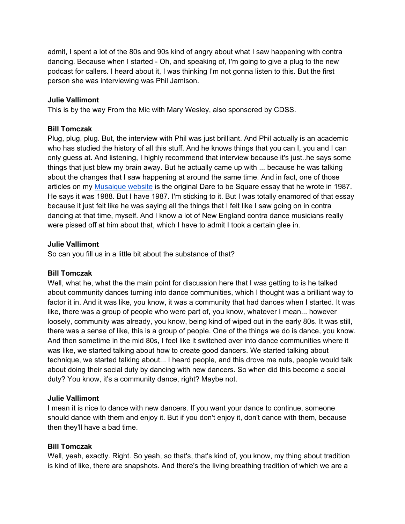admit, I spent a lot of the 80s and 90s kind of angry about what I saw happening with contra dancing. Because when I started - Oh, and speaking of, I'm going to give a plug to the new podcast for callers. I heard about it, I was thinking I'm not gonna listen to this. But the first person she was interviewing was Phil Jamison.

## **Julie Vallimont**

This is by the way From the Mic with Mary Wesley, also sponsored by CDSS.

## **Bill Tomczak**

Plug, plug, plug. But, the interview with Phil was just brilliant. And Phil actually is an academic who has studied the history of all this stuff. And he knows things that you can I, you and I can only guess at. And listening, I highly recommend that interview because it's just..he says some things that just blew my brain away. But he actually came up with ... because he was talking about the changes that I saw happening at around the same time. And in fact, one of those articles on my Musaique website is the original Dare to be Square essay that he wrote in 1987. He says it was 1988. But I have 1987. I'm sticking to it. But I was totally enamored of that essay because it just felt like he was saying all the things that I felt like I saw going on in contra dancing at that time, myself. And I know a lot of New England contra dance musicians really were pissed off at him about that, which I have to admit I took a certain glee in.

## **Julie Vallimont**

So can you fill us in a little bit about the substance of that?

## **Bill Tomczak**

Well, what he, what the the main point for discussion here that I was getting to is he talked about community dances turning into dance communities, which I thought was a brilliant way to factor it in. And it was like, you know, it was a community that had dances when I started. It was like, there was a group of people who were part of, you know, whatever I mean... however loosely, community was already, you know, being kind of wiped out in the early 80s. It was still, there was a sense of like, this is a group of people. One of the things we do is dance, you know. And then sometime in the mid 80s, I feel like it switched over into dance communities where it was like, we started talking about how to create good dancers. We started talking about technique, we started talking about... I heard people, and this drove me nuts, people would talk about doing their social duty by dancing with new dancers. So when did this become a social duty? You know, it's a community dance, right? Maybe not.

## **Julie Vallimont**

I mean it is nice to dance with new dancers. If you want your dance to continue, someone should dance with them and enjoy it. But if you don't enjoy it, don't dance with them, because then they'll have a bad time.

## **Bill Tomczak**

Well, yeah, exactly. Right. So yeah, so that's, that's kind of, you know, my thing about tradition is kind of like, there are snapshots. And there's the living breathing tradition of which we are a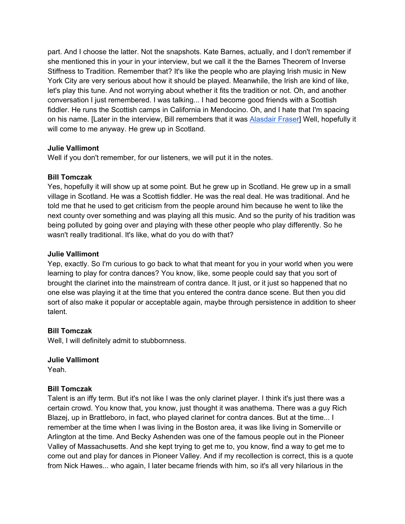part. And I choose the latter. Not the snapshots. Kate Barnes, actually, and I don't remember if she mentioned this in your in your interview, but we call it the the Barnes Theorem of Inverse Stiffness to Tradition. Remember that? It's like the people who are playing Irish music in New York City are very serious about how it should be played. Meanwhile, the Irish are kind of like, let's play this tune. And not worrying about whether it fits the tradition or not. Oh, and another conversation I just remembered. I was talking... I had become good friends with a Scottish fiddler. He runs the Scottish camps in California in Mendocino. Oh, and I hate that I'm spacing on his name. [Later in the interview, Bill remembers that it was Alasdair Fraser] Well, hopefully it will come to me anyway. He grew up in Scotland.

## **Julie Vallimont**

Well if you don't remember, for our listeners, we will put it in the notes.

## **Bill Tomczak**

Yes, hopefully it will show up at some point. But he grew up in Scotland. He grew up in a small village in Scotland. He was a Scottish fiddler. He was the real deal. He was traditional. And he told me that he used to get criticism from the people around him because he went to like the next county over something and was playing all this music. And so the purity of his tradition was being polluted by going over and playing with these other people who play differently. So he wasn't really traditional. It's like, what do you do with that?

## **Julie Vallimont**

Yep, exactly. So I'm curious to go back to what that meant for you in your world when you were learning to play for contra dances? You know, like, some people could say that you sort of brought the clarinet into the mainstream of contra dance. It just, or it just so happened that no one else was playing it at the time that you entered the contra dance scene. But then you did sort of also make it popular or acceptable again, maybe through persistence in addition to sheer talent.

## **Bill Tomczak**

Well, I will definitely admit to stubbornness.

## **Julie Vallimont**

Yeah.

## **Bill Tomczak**

Talent is an iffy term. But it's not like I was the only clarinet player. I think it's just there was a certain crowd. You know that, you know, just thought it was anathema. There was a guy Rich Blazej, up in Brattleboro, in fact, who played clarinet for contra dances. But at the time... I remember at the time when I was living in the Boston area, it was like living in Somerville or Arlington at the time. And Becky Ashenden was one of the famous people out in the Pioneer Valley of Massachusetts. And she kept trying to get me to, you know, find a way to get me to come out and play for dances in Pioneer Valley. And if my recollection is correct, this is a quote from Nick Hawes... who again, I later became friends with him, so it's all very hilarious in the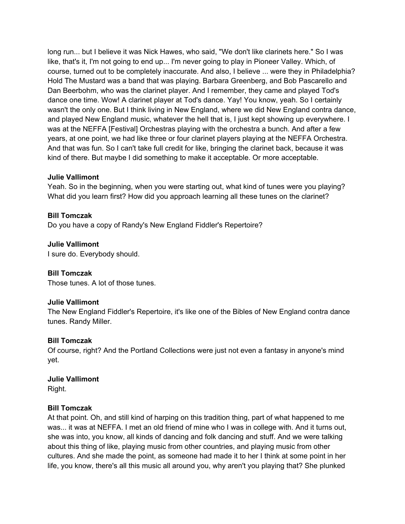long run... but I believe it was Nick Hawes, who said, "We don't like clarinets here." So I was like, that's it, I'm not going to end up... I'm never going to play in Pioneer Valley. Which, of course, turned out to be completely inaccurate. And also, I believe ... were they in Philadelphia? Hold The Mustard was a band that was playing. Barbara Greenberg, and Bob Pascarello and Dan Beerbohm, who was the clarinet player. And I remember, they came and played Tod's dance one time. Wow! A clarinet player at Tod's dance. Yay! You know, yeah. So I certainly wasn't the only one. But I think living in New England, where we did New England contra dance, and played New England music, whatever the hell that is, I just kept showing up everywhere. I was at the NEFFA [Festival] Orchestras playing with the orchestra a bunch. And after a few years, at one point, we had like three or four clarinet players playing at the NEFFA Orchestra. And that was fun. So I can't take full credit for like, bringing the clarinet back, because it was kind of there. But maybe I did something to make it acceptable. Or more acceptable.

#### **Julie Vallimont**

Yeah. So in the beginning, when you were starting out, what kind of tunes were you playing? What did you learn first? How did you approach learning all these tunes on the clarinet?

#### **Bill Tomczak**

Do you have a copy of Randy's New England Fiddler's Repertoire?

## **Julie Vallimont**

I sure do. Everybody should.

#### **Bill Tomczak**

Those tunes. A lot of those tunes.

#### **Julie Vallimont**

The New England Fiddler's Repertoire, it's like one of the Bibles of New England contra dance tunes. Randy Miller.

#### **Bill Tomczak**

Of course, right? And the Portland Collections were just not even a fantasy in anyone's mind yet.

#### **Julie Vallimont**

Right.

#### **Bill Tomczak**

At that point. Oh, and still kind of harping on this tradition thing, part of what happened to me was... it was at NEFFA. I met an old friend of mine who I was in college with. And it turns out, she was into, you know, all kinds of dancing and folk dancing and stuff. And we were talking about this thing of like, playing music from other countries, and playing music from other cultures. And she made the point, as someone had made it to her I think at some point in her life, you know, there's all this music all around you, why aren't you playing that? She plunked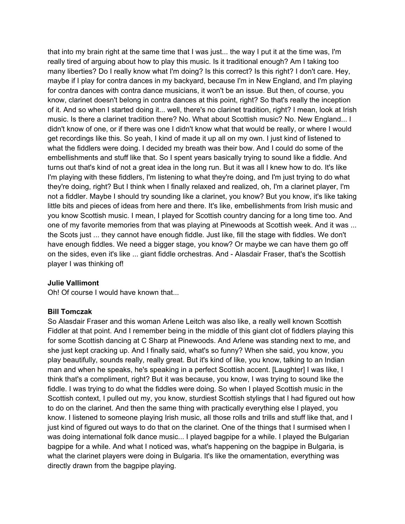that into my brain right at the same time that I was just... the way I put it at the time was, I'm really tired of arguing about how to play this music. Is it traditional enough? Am I taking too many liberties? Do I really know what I'm doing? Is this correct? Is this right? I don't care. Hey, maybe if I play for contra dances in my backyard, because I'm in New England, and I'm playing for contra dances with contra dance musicians, it won't be an issue. But then, of course, you know, clarinet doesn't belong in contra dances at this point, right? So that's really the inception of it. And so when I started doing it... well, there's no clarinet tradition, right? I mean, look at Irish music. Is there a clarinet tradition there? No. What about Scottish music? No. New England... I didn't know of one, or if there was one I didn't know what that would be really, or where I would get recordings like this. So yeah, I kind of made it up all on my own. I just kind of listened to what the fiddlers were doing. I decided my breath was their bow. And I could do some of the embellishments and stuff like that. So I spent years basically trying to sound like a fiddle. And turns out that's kind of not a great idea in the long run. But it was all I knew how to do. It's like I'm playing with these fiddlers, I'm listening to what they're doing, and I'm just trying to do what they're doing, right? But I think when I finally relaxed and realized, oh, I'm a clarinet player, I'm not a fiddler. Maybe I should try sounding like a clarinet, you know? But you know, it's like taking little bits and pieces of ideas from here and there. It's like, embellishments from Irish music and you know Scottish music. I mean, I played for Scottish country dancing for a long time too. And one of my favorite memories from that was playing at Pinewoods at Scottish week. And it was ... the Scots just ... they cannot have enough fiddle. Just like, fill the stage with fiddles. We don't have enough fiddles. We need a bigger stage, you know? Or maybe we can have them go off on the sides, even it's like ... giant fiddle orchestras. And - Alasdair Fraser, that's the Scottish player I was thinking of!

## **Julie Vallimont**

Oh! Of course I would have known that...

#### **Bill Tomczak**

So Alasdair Fraser and this woman Arlene Leitch was also like, a really well known Scottish Fiddler at that point. And I remember being in the middle of this giant clot of fiddlers playing this for some Scottish dancing at C Sharp at Pinewoods. And Arlene was standing next to me, and she just kept cracking up. And I finally said, what's so funny? When she said, you know, you play beautifully, sounds really, really great. But it's kind of like, you know, talking to an Indian man and when he speaks, he's speaking in a perfect Scottish accent. [Laughter] I was like, I think that's a compliment, right? But it was because, you know, I was trying to sound like the fiddle. I was trying to do what the fiddles were doing. So when I played Scottish music in the Scottish context, I pulled out my, you know, sturdiest Scottish stylings that I had figured out how to do on the clarinet. And then the same thing with practically everything else I played, you know. I listened to someone playing Irish music, all those rolls and trills and stuff like that, and I just kind of figured out ways to do that on the clarinet. One of the things that I surmised when I was doing international folk dance music... I played bagpipe for a while. I played the Bulgarian bagpipe for a while. And what I noticed was, what's happening on the bagpipe in Bulgaria, is what the clarinet players were doing in Bulgaria. It's like the ornamentation, everything was directly drawn from the bagpipe playing.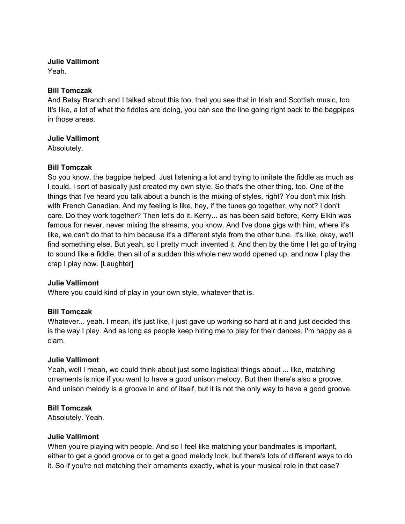## **Julie Vallimont**

Yeah.

## **Bill Tomczak**

And Betsy Branch and I talked about this too, that you see that in Irish and Scottish music, too. It's like, a lot of what the fiddles are doing, you can see the line going right back to the bagpipes in those areas.

## **Julie Vallimont**

Absolutely.

## **Bill Tomczak**

So you know, the bagpipe helped. Just listening a lot and trying to imitate the fiddle as much as I could. I sort of basically just created my own style. So that's the other thing, too. One of the things that I've heard you talk about a bunch is the mixing of styles, right? You don't mix Irish with French Canadian. And my feeling is like, hey, if the tunes go together, why not? I don't care. Do they work together? Then let's do it. Kerry... as has been said before, Kerry Elkin was famous for never, never mixing the streams, you know. And I've done gigs with him, where it's like, we can't do that to him because it's a different style from the other tune. It's like, okay, we'll find something else. But yeah, so I pretty much invented it. And then by the time I let go of trying to sound like a fiddle, then all of a sudden this whole new world opened up, and now I play the crap I play now. [Laughter]

## **Julie Vallimont**

Where you could kind of play in your own style, whatever that is.

## **Bill Tomczak**

Whatever... yeah. I mean, it's just like, I just gave up working so hard at it and just decided this is the way I play. And as long as people keep hiring me to play for their dances, I'm happy as a clam.

## **Julie Vallimont**

Yeah, well I mean, we could think about just some logistical things about ... like, matching ornaments is nice if you want to have a good unison melody. But then there's also a groove. And unison melody is a groove in and of itself, but it is not the only way to have a good groove.

## **Bill Tomczak**

Absolutely. Yeah.

## **Julie Vallimont**

When you're playing with people. And so I feel like matching your bandmates is important, either to get a good groove or to get a good melody lock, but there's lots of different ways to do it. So if you're not matching their ornaments exactly, what is your musical role in that case?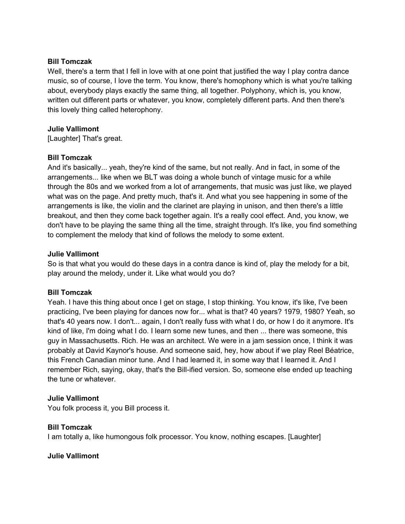#### **Bill Tomczak**

Well, there's a term that I fell in love with at one point that justified the way I play contra dance music, so of course, I love the term. You know, there's homophony which is what you're talking about, everybody plays exactly the same thing, all together. Polyphony, which is, you know, written out different parts or whatever, you know, completely different parts. And then there's this lovely thing called heterophony.

#### **Julie Vallimont**

[Laughter] That's great.

#### **Bill Tomczak**

And it's basically... yeah, they're kind of the same, but not really. And in fact, in some of the arrangements... like when we BLT was doing a whole bunch of vintage music for a while through the 80s and we worked from a lot of arrangements, that music was just like, we played what was on the page. And pretty much, that's it. And what you see happening in some of the arrangements is like, the violin and the clarinet are playing in unison, and then there's a little breakout, and then they come back together again. It's a really cool effect. And, you know, we don't have to be playing the same thing all the time, straight through. It's like, you find something to complement the melody that kind of follows the melody to some extent.

#### **Julie Vallimont**

So is that what you would do these days in a contra dance is kind of, play the melody for a bit, play around the melody, under it. Like what would you do?

#### **Bill Tomczak**

Yeah. I have this thing about once I get on stage, I stop thinking. You know, it's like, I've been practicing, I've been playing for dances now for... what is that? 40 years? 1979, 1980? Yeah, so that's 40 years now. I don't... again, I don't really fuss with what I do, or how I do it anymore. It's kind of like, I'm doing what I do. I learn some new tunes, and then ... there was someone, this guy in Massachusetts. Rich. He was an architect. We were in a jam session once, I think it was probably at David Kaynor's house. And someone said, hey, how about if we play Reel Béatrice, this French Canadian minor tune. And I had learned it, in some way that I learned it. And I remember Rich, saying, okay, that's the Bill-ified version. So, someone else ended up teaching the tune or whatever.

#### **Julie Vallimont**

You folk process it, you Bill process it.

#### **Bill Tomczak**

I am totally a, like humongous folk processor. You know, nothing escapes. [Laughter]

#### **Julie Vallimont**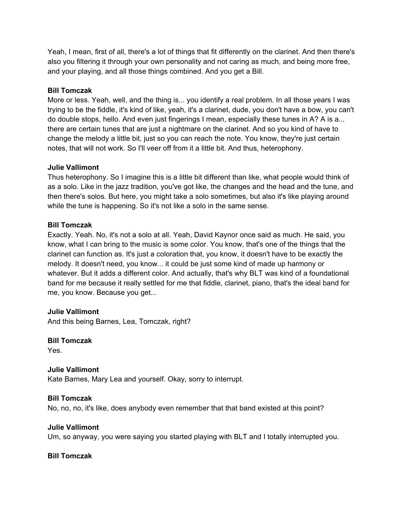Yeah, I mean, first of all, there's a lot of things that fit differently on the clarinet. And then there's also you filtering it through your own personality and not caring as much, and being more free, and your playing, and all those things combined. And you get a Bill.

## **Bill Tomczak**

More or less. Yeah, well, and the thing is... you identify a real problem. In all those years I was trying to be the fiddle, it's kind of like, yeah, it's a clarinet, dude, you don't have a bow, you can't do double stops, hello. And even just fingerings I mean, especially these tunes in A? A is a... there are certain tunes that are just a nightmare on the clarinet. And so you kind of have to change the melody a little bit, just so you can reach the note. You know, they're just certain notes, that will not work. So I'll veer off from it a little bit. And thus, heterophony.

## **Julie Vallimont**

Thus heterophony. So I imagine this is a little bit different than like, what people would think of as a solo. Like in the jazz tradition, you've got like, the changes and the head and the tune, and then there's solos. But here, you might take a solo sometimes, but also it's like playing around while the tune is happening. So it's not like a solo in the same sense.

## **Bill Tomczak**

Exactly. Yeah. No, it's not a solo at all. Yeah, David Kaynor once said as much. He said, you know, what I can bring to the music is some color. You know, that's one of the things that the clarinet can function as. It's just a coloration that, you know, it doesn't have to be exactly the melody. It doesn't need, you know... it could be just some kind of made up harmony or whatever. But it adds a different color. And actually, that's why BLT was kind of a foundational band for me because it really settled for me that fiddle, clarinet, piano, that's the ideal band for me, you know. Because you get...

## **Julie Vallimont**

And this being Barnes, Lea, Tomczak, right?

## **Bill Tomczak**

Yes.

## **Julie Vallimont**

Kate Barnes, Mary Lea and yourself. Okay, sorry to interrupt.

## **Bill Tomczak**

No, no, no, it's like, does anybody even remember that that band existed at this point?

## **Julie Vallimont**

Um, so anyway, you were saying you started playing with BLT and I totally interrupted you.

## **Bill Tomczak**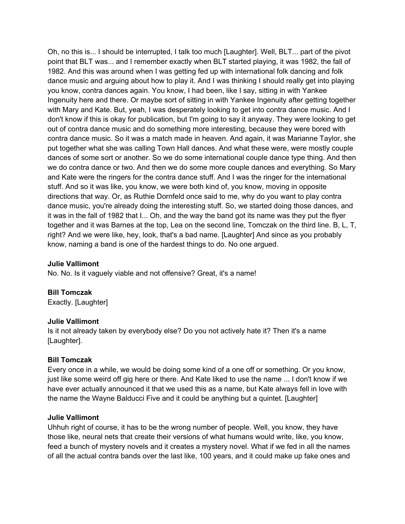Oh, no this is... I should be interrupted, I talk too much [Laughter]. Well, BLT... part of the pivot point that BLT was... and I remember exactly when BLT started playing, it was 1982, the fall of 1982. And this was around when I was getting fed up with international folk dancing and folk dance music and arguing about how to play it. And I was thinking I should really get into playing you know, contra dances again. You know, I had been, like I say, sitting in with Yankee Ingenuity here and there. Or maybe sort of sitting in with Yankee Ingenuity after getting together with Mary and Kate. But, yeah, I was desperately looking to get into contra dance music. And I don't know if this is okay for publication, but I'm going to say it anyway. They were looking to get out of contra dance music and do something more interesting, because they were bored with contra dance music. So it was a match made in heaven. And again, it was Marianne Taylor, she put together what she was calling Town Hall dances. And what these were, were mostly couple dances of some sort or another. So we do some international couple dance type thing. And then we do contra dance or two. And then we do some more couple dances and everything. So Mary and Kate were the ringers for the contra dance stuff. And I was the ringer for the international stuff. And so it was like, you know, we were both kind of, you know, moving in opposite directions that way. Or, as Ruthie Dornfeld once said to me, why do you want to play contra dance music, you're already doing the interesting stuff. So, we started doing those dances, and it was in the fall of 1982 that I... Oh, and the way the band got its name was they put the flyer together and it was Barnes at the top, Lea on the second line, Tomczak on the third line. B, L, T, right? And we were like, hey, look, that's a bad name. [Laughter] And since as you probably know, naming a band is one of the hardest things to do. No one argued.

## **Julie Vallimont**

No. No. Is it vaguely viable and not offensive? Great, it's a name!

**Bill Tomczak**  Exactly. [Laughter]

#### **Julie Vallimont**

Is it not already taken by everybody else? Do you not actively hate it? Then it's a name [Laughter].

#### **Bill Tomczak**

Every once in a while, we would be doing some kind of a one off or something. Or you know, just like some weird off gig here or there. And Kate liked to use the name ... I don't know if we have ever actually announced it that we used this as a name, but Kate always fell in love with the name the Wayne Balducci Five and it could be anything but a quintet. [Laughter]

#### **Julie Vallimont**

Uhhuh right of course, it has to be the wrong number of people. Well, you know, they have those like, neural nets that create their versions of what humans would write, like, you know, feed a bunch of mystery novels and it creates a mystery novel. What if we fed in all the names of all the actual contra bands over the last like, 100 years, and it could make up fake ones and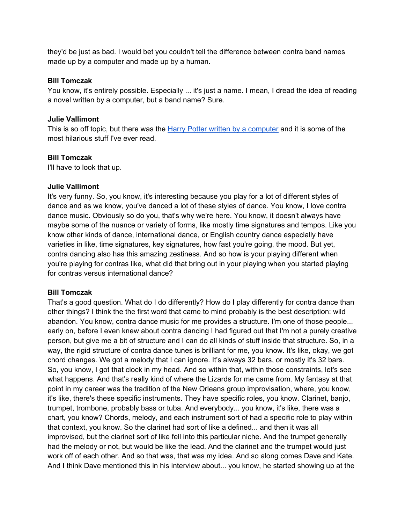they'd be just as bad. I would bet you couldn't tell the difference between contra band names made up by a computer and made up by a human.

#### **Bill Tomczak**

You know, it's entirely possible. Especially ... it's just a name. I mean, I dread the idea of reading a novel written by a computer, but a band name? Sure.

#### **Julie Vallimont**

This is so off topic, but there was the Harry Potter written by a computer and it is some of the most hilarious stuff I've ever read.

#### **Bill Tomczak**

I'll have to look that up.

#### **Julie Vallimont**

It's very funny. So, you know, it's interesting because you play for a lot of different styles of dance and as we know, you've danced a lot of these styles of dance. You know, I love contra dance music. Obviously so do you, that's why we're here. You know, it doesn't always have maybe some of the nuance or variety of forms, like mostly time signatures and tempos. Like you know other kinds of dance, international dance, or English country dance especially have varieties in like, time signatures, key signatures, how fast you're going, the mood. But yet, contra dancing also has this amazing zestiness. And so how is your playing different when you're playing for contras like, what did that bring out in your playing when you started playing for contras versus international dance?

## **Bill Tomczak**

That's a good question. What do I do differently? How do I play differently for contra dance than other things? I think the the first word that came to mind probably is the best description: wild abandon. You know, contra dance music for me provides a structure. I'm one of those people... early on, before I even knew about contra dancing I had figured out that I'm not a purely creative person, but give me a bit of structure and I can do all kinds of stuff inside that structure. So, in a way, the rigid structure of contra dance tunes is brilliant for me, you know. It's like, okay, we got chord changes. We got a melody that I can ignore. It's always 32 bars, or mostly it's 32 bars. So, you know, I got that clock in my head. And so within that, within those constraints, let's see what happens. And that's really kind of where the Lizards for me came from. My fantasy at that point in my career was the tradition of the New Orleans group improvisation, where, you know, it's like, there's these specific instruments. They have specific roles, you know. Clarinet, banjo, trumpet, trombone, probably bass or tuba. And everybody... you know, it's like, there was a chart, you know? Chords, melody, and each instrument sort of had a specific role to play within that context, you know. So the clarinet had sort of like a defined... and then it was all improvised, but the clarinet sort of like fell into this particular niche. And the trumpet generally had the melody or not, but would be like the lead. And the clarinet and the trumpet would just work off of each other. And so that was, that was my idea. And so along comes Dave and Kate. And I think Dave mentioned this in his interview about... you know, he started showing up at the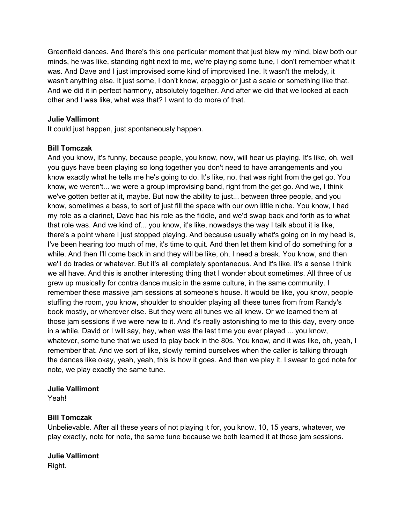Greenfield dances. And there's this one particular moment that just blew my mind, blew both our minds, he was like, standing right next to me, we're playing some tune, I don't remember what it was. And Dave and I just improvised some kind of improvised line. It wasn't the melody, it wasn't anything else. It just some, I don't know, arpeggio or just a scale or something like that. And we did it in perfect harmony, absolutely together. And after we did that we looked at each other and I was like, what was that? I want to do more of that.

## **Julie Vallimont**

It could just happen, just spontaneously happen.

## **Bill Tomczak**

And you know, it's funny, because people, you know, now, will hear us playing. It's like, oh, well you guys have been playing so long together you don't need to have arrangements and you know exactly what he tells me he's going to do. It's like, no, that was right from the get go. You know, we weren't... we were a group improvising band, right from the get go. And we, I think we've gotten better at it, maybe. But now the ability to just... between three people, and you know, sometimes a bass, to sort of just fill the space with our own little niche. You know, I had my role as a clarinet, Dave had his role as the fiddle, and we'd swap back and forth as to what that role was. And we kind of... you know, it's like, nowadays the way I talk about it is like, there's a point where I just stopped playing. And because usually what's going on in my head is, I've been hearing too much of me, it's time to quit. And then let them kind of do something for a while. And then I'll come back in and they will be like, oh, I need a break. You know, and then we'll do trades or whatever. But it's all completely spontaneous. And it's like, it's a sense I think we all have. And this is another interesting thing that I wonder about sometimes. All three of us grew up musically for contra dance music in the same culture, in the same community. I remember these massive jam sessions at someone's house. It would be like, you know, people stuffing the room, you know, shoulder to shoulder playing all these tunes from from Randy's book mostly, or wherever else. But they were all tunes we all knew. Or we learned them at those jam sessions if we were new to it. And it's really astonishing to me to this day, every once in a while, David or I will say, hey, when was the last time you ever played ... you know, whatever, some tune that we used to play back in the 80s. You know, and it was like, oh, yeah, I remember that. And we sort of like, slowly remind ourselves when the caller is talking through the dances like okay, yeah, yeah, this is how it goes. And then we play it. I swear to god note for note, we play exactly the same tune.

## **Julie Vallimont**

Yeah!

## **Bill Tomczak**

Unbelievable. After all these years of not playing it for, you know, 10, 15 years, whatever, we play exactly, note for note, the same tune because we both learned it at those jam sessions.

## **Julie Vallimont**

Right.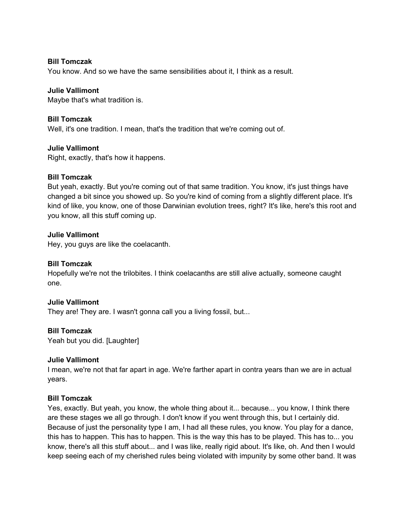#### **Bill Tomczak**

You know. And so we have the same sensibilities about it, I think as a result.

## **Julie Vallimont**

Maybe that's what tradition is.

## **Bill Tomczak**

Well, it's one tradition. I mean, that's the tradition that we're coming out of.

## **Julie Vallimont**

Right, exactly, that's how it happens.

#### **Bill Tomczak**

But yeah, exactly. But you're coming out of that same tradition. You know, it's just things have changed a bit since you showed up. So you're kind of coming from a slightly different place. It's kind of like, you know, one of those Darwinian evolution trees, right? It's like, here's this root and you know, all this stuff coming up.

#### **Julie Vallimont**

Hey, you guys are like the coelacanth.

#### **Bill Tomczak**

Hopefully we're not the trilobites. I think coelacanths are still alive actually, someone caught one.

## **Julie Vallimont**

They are! They are. I wasn't gonna call you a living fossil, but...

## **Bill Tomczak**

Yeah but you did. [Laughter]

## **Julie Vallimont**

I mean, we're not that far apart in age. We're farther apart in contra years than we are in actual years.

#### **Bill Tomczak**

Yes, exactly. But yeah, you know, the whole thing about it... because... you know, I think there are these stages we all go through. I don't know if you went through this, but I certainly did. Because of just the personality type I am, I had all these rules, you know. You play for a dance, this has to happen. This has to happen. This is the way this has to be played. This has to... you know, there's all this stuff about... and I was like, really rigid about. It's like, oh. And then I would keep seeing each of my cherished rules being violated with impunity by some other band. It was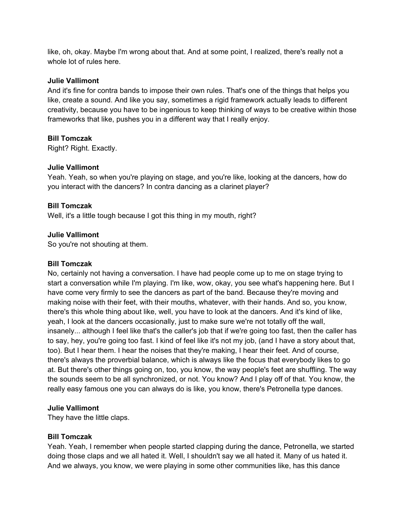like, oh, okay. Maybe I'm wrong about that. And at some point, I realized, there's really not a whole lot of rules here.

#### **Julie Vallimont**

And it's fine for contra bands to impose their own rules. That's one of the things that helps you like, create a sound. And like you say, sometimes a rigid framework actually leads to different creativity, because you have to be ingenious to keep thinking of ways to be creative within those frameworks that like, pushes you in a different way that I really enjoy.

#### **Bill Tomczak**

Right? Right. Exactly.

#### **Julie Vallimont**

Yeah. Yeah, so when you're playing on stage, and you're like, looking at the dancers, how do you interact with the dancers? In contra dancing as a clarinet player?

#### **Bill Tomczak**

Well, it's a little tough because I got this thing in my mouth, right?

#### **Julie Vallimont**

So you're not shouting at them.

#### **Bill Tomczak**

No, certainly not having a conversation. I have had people come up to me on stage trying to start a conversation while I'm playing. I'm like, wow, okay, you see what's happening here. But I have come very firmly to see the dancers as part of the band. Because they're moving and making noise with their feet, with their mouths, whatever, with their hands. And so, you know, there's this whole thing about like, well, you have to look at the dancers. And it's kind of like, yeah, I look at the dancers occasionally, just to make sure we're not totally off the wall, insanely... although I feel like that's the caller's job that if we're going too fast, then the caller has to say, hey, you're going too fast. I kind of feel like it's not my job, (and I have a story about that, too). But I hear them. I hear the noises that they're making, I hear their feet. And of course, there's always the proverbial balance, which is always like the focus that everybody likes to go at. But there's other things going on, too, you know, the way people's feet are shuffling. The way the sounds seem to be all synchronized, or not. You know? And I play off of that. You know, the really easy famous one you can always do is like, you know, there's Petronella type dances.

#### **Julie Vallimont**

They have the little claps.

#### **Bill Tomczak**

Yeah. Yeah, I remember when people started clapping during the dance, Petronella, we started doing those claps and we all hated it. Well, I shouldn't say we all hated it. Many of us hated it. And we always, you know, we were playing in some other communities like, has this dance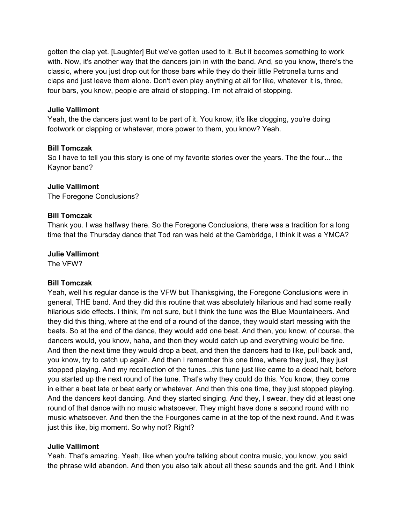gotten the clap yet. [Laughter] But we've gotten used to it. But it becomes something to work with. Now, it's another way that the dancers join in with the band. And, so you know, there's the classic, where you just drop out for those bars while they do their little Petronella turns and claps and just leave them alone. Don't even play anything at all for like, whatever it is, three, four bars, you know, people are afraid of stopping. I'm not afraid of stopping.

#### **Julie Vallimont**

Yeah, the the dancers just want to be part of it. You know, it's like clogging, you're doing footwork or clapping or whatever, more power to them, you know? Yeah.

#### **Bill Tomczak**

So I have to tell you this story is one of my favorite stories over the years. The the four... the Kaynor band?

#### **Julie Vallimont**

The Foregone Conclusions?

#### **Bill Tomczak**

Thank you. I was halfway there. So the Foregone Conclusions, there was a tradition for a long time that the Thursday dance that Tod ran was held at the Cambridge, I think it was a YMCA?

#### **Julie Vallimont**

The VFW?

## **Bill Tomczak**

Yeah, well his regular dance is the VFW but Thanksgiving, the Foregone Conclusions were in general, THE band. And they did this routine that was absolutely hilarious and had some really hilarious side effects. I think, I'm not sure, but I think the tune was the Blue Mountaineers. And they did this thing, where at the end of a round of the dance, they would start messing with the beats. So at the end of the dance, they would add one beat. And then, you know, of course, the dancers would, you know, haha, and then they would catch up and everything would be fine. And then the next time they would drop a beat, and then the dancers had to like, pull back and, you know, try to catch up again. And then I remember this one time, where they just, they just stopped playing. And my recollection of the tunes...this tune just like came to a dead halt, before you started up the next round of the tune. That's why they could do this. You know, they come in either a beat late or beat early or whatever. And then this one time, they just stopped playing. And the dancers kept dancing. And they started singing. And they, I swear, they did at least one round of that dance with no music whatsoever. They might have done a second round with no music whatsoever. And then the the Fourgones came in at the top of the next round. And it was just this like, big moment. So why not? Right?

## **Julie Vallimont**

Yeah. That's amazing. Yeah, like when you're talking about contra music, you know, you said the phrase wild abandon. And then you also talk about all these sounds and the grit. And I think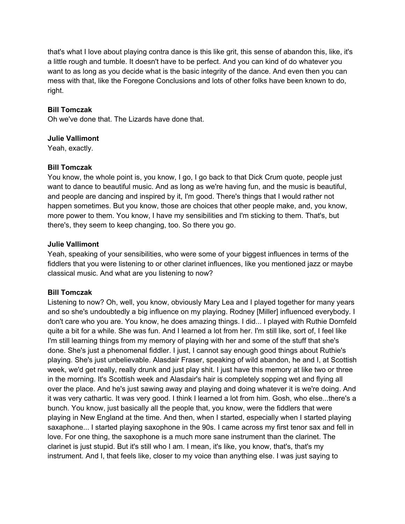that's what I love about playing contra dance is this like grit, this sense of abandon this, like, it's a little rough and tumble. It doesn't have to be perfect. And you can kind of do whatever you want to as long as you decide what is the basic integrity of the dance. And even then you can mess with that, like the Foregone Conclusions and lots of other folks have been known to do, right.

## **Bill Tomczak**

Oh we've done that. The Lizards have done that.

## **Julie Vallimont**

Yeah, exactly.

## **Bill Tomczak**

You know, the whole point is, you know, I go, I go back to that Dick Crum quote, people just want to dance to beautiful music. And as long as we're having fun, and the music is beautiful, and people are dancing and inspired by it, I'm good. There's things that I would rather not happen sometimes. But you know, those are choices that other people make, and, you know, more power to them. You know, I have my sensibilities and I'm sticking to them. That's, but there's, they seem to keep changing, too. So there you go.

## **Julie Vallimont**

Yeah, speaking of your sensibilities, who were some of your biggest influences in terms of the fiddlers that you were listening to or other clarinet influences, like you mentioned jazz or maybe classical music. And what are you listening to now?

## **Bill Tomczak**

Listening to now? Oh, well, you know, obviously Mary Lea and I played together for many years and so she's undoubtedly a big influence on my playing. Rodney [Miller] influenced everybody. I don't care who you are. You know, he does amazing things. I did... I played with Ruthie Dornfeld quite a bit for a while. She was fun. And I learned a lot from her. I'm still like, sort of, I feel like I'm still learning things from my memory of playing with her and some of the stuff that she's done. She's just a phenomenal fiddler. I just, I cannot say enough good things about Ruthie's playing. She's just unbelievable. Alasdair Fraser, speaking of wild abandon, he and I, at Scottish week, we'd get really, really drunk and just play shit. I just have this memory at like two or three in the morning. It's Scottish week and Alasdair's hair is completely sopping wet and flying all over the place. And he's just sawing away and playing and doing whatever it is we're doing. And it was very cathartic. It was very good. I think I learned a lot from him. Gosh, who else...there's a bunch. You know, just basically all the people that, you know, were the fiddlers that were playing in New England at the time. And then, when I started, especially when I started playing saxaphone... I started playing saxophone in the 90s. I came across my first tenor sax and fell in love. For one thing, the saxophone is a much more sane instrument than the clarinet. The clarinet is just stupid. But it's still who I am. I mean, it's like, you know, that's, that's my instrument. And I, that feels like, closer to my voice than anything else. I was just saying to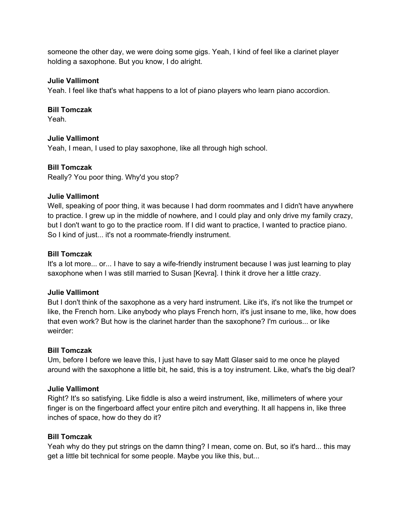someone the other day, we were doing some gigs. Yeah, I kind of feel like a clarinet player holding a saxophone. But you know, I do alright.

## **Julie Vallimont**

Yeah. I feel like that's what happens to a lot of piano players who learn piano accordion.

## **Bill Tomczak**

Yeah.

## **Julie Vallimont**

Yeah, I mean, I used to play saxophone, like all through high school.

## **Bill Tomczak**

Really? You poor thing. Why'd you stop?

## **Julie Vallimont**

Well, speaking of poor thing, it was because I had dorm roommates and I didn't have anywhere to practice. I grew up in the middle of nowhere, and I could play and only drive my family crazy, but I don't want to go to the practice room. If I did want to practice, I wanted to practice piano. So I kind of just... it's not a roommate-friendly instrument.

## **Bill Tomczak**

It's a lot more... or... I have to say a wife-friendly instrument because I was just learning to play saxophone when I was still married to Susan [Kevra]. I think it drove her a little crazy.

## **Julie Vallimont**

But I don't think of the saxophone as a very hard instrument. Like it's, it's not like the trumpet or like, the French horn. Like anybody who plays French horn, it's just insane to me, like, how does that even work? But how is the clarinet harder than the saxophone? I'm curious... or like weirder:

## **Bill Tomczak**

Um, before I before we leave this, I just have to say Matt Glaser said to me once he played around with the saxophone a little bit, he said, this is a toy instrument. Like, what's the big deal?

## **Julie Vallimont**

Right? It's so satisfying. Like fiddle is also a weird instrument, like, millimeters of where your finger is on the fingerboard affect your entire pitch and everything. It all happens in, like three inches of space, how do they do it?

## **Bill Tomczak**

Yeah why do they put strings on the damn thing? I mean, come on. But, so it's hard... this may get a little bit technical for some people. Maybe you like this, but...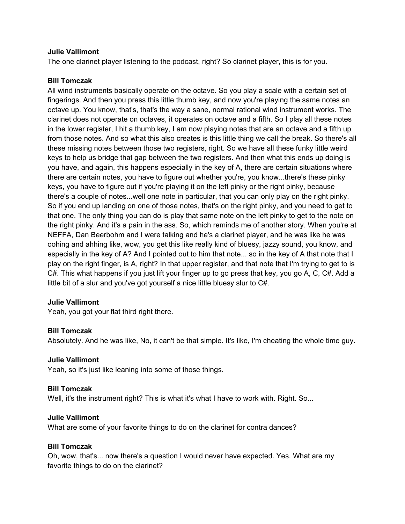#### **Julie Vallimont**

The one clarinet player listening to the podcast, right? So clarinet player, this is for you.

#### **Bill Tomczak**

All wind instruments basically operate on the octave. So you play a scale with a certain set of fingerings. And then you press this little thumb key, and now you're playing the same notes an octave up. You know, that's, that's the way a sane, normal rational wind instrument works. The clarinet does not operate on octaves, it operates on octave and a fifth. So I play all these notes in the lower register, I hit a thumb key, I am now playing notes that are an octave and a fifth up from those notes. And so what this also creates is this little thing we call the break. So there's all these missing notes between those two registers, right. So we have all these funky little weird keys to help us bridge that gap between the two registers. And then what this ends up doing is you have, and again, this happens especially in the key of A, there are certain situations where there are certain notes, you have to figure out whether you're, you know...there's these pinky keys, you have to figure out if you're playing it on the left pinky or the right pinky, because there's a couple of notes...well one note in particular, that you can only play on the right pinky. So if you end up landing on one of those notes, that's on the right pinky, and you need to get to that one. The only thing you can do is play that same note on the left pinky to get to the note on the right pinky. And it's a pain in the ass. So, which reminds me of another story. When you're at NEFFA, Dan Beerbohm and I were talking and he's a clarinet player, and he was like he was oohing and ahhing like, wow, you get this like really kind of bluesy, jazzy sound, you know, and especially in the key of A? And I pointed out to him that note... so in the key of A that note that I play on the right finger, is A, right? In that upper register, and that note that I'm trying to get to is C#. This what happens if you just lift your finger up to go press that key, you go A, C, C#. Add a little bit of a slur and you've got yourself a nice little bluesy slur to C#.

#### **Julie Vallimont**

Yeah, you got your flat third right there.

#### **Bill Tomczak**

Absolutely. And he was like, No, it can't be that simple. It's like, I'm cheating the whole time guy.

#### **Julie Vallimont**

Yeah, so it's just like leaning into some of those things.

#### **Bill Tomczak**

Well, it's the instrument right? This is what it's what I have to work with. Right. So...

#### **Julie Vallimont**

What are some of your favorite things to do on the clarinet for contra dances?

#### **Bill Tomczak**

Oh, wow, that's... now there's a question I would never have expected. Yes. What are my favorite things to do on the clarinet?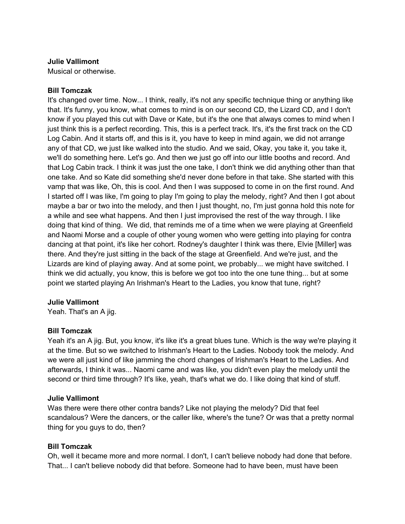## **Julie Vallimont**

Musical or otherwise.

## **Bill Tomczak**

It's changed over time. Now... I think, really, it's not any specific technique thing or anything like that. It's funny, you know, what comes to mind is on our second CD, the Lizard CD, and I don't know if you played this cut with Dave or Kate, but it's the one that always comes to mind when I just think this is a perfect recording. This, this is a perfect track. It's, it's the first track on the CD Log Cabin. And it starts off, and this is it, you have to keep in mind again, we did not arrange any of that CD, we just like walked into the studio. And we said, Okay, you take it, you take it, we'll do something here. Let's go. And then we just go off into our little booths and record. And that Log Cabin track. I think it was just the one take, I don't think we did anything other than that one take. And so Kate did something she'd never done before in that take. She started with this vamp that was like, Oh, this is cool. And then I was supposed to come in on the first round. And I started off I was like, I'm going to play I'm going to play the melody, right? And then I got about maybe a bar or two into the melody, and then I just thought, no, I'm just gonna hold this note for a while and see what happens. And then I just improvised the rest of the way through. I like doing that kind of thing. We did, that reminds me of a time when we were playing at Greenfield and Naomi Morse and a couple of other young women who were getting into playing for contra dancing at that point, it's like her cohort. Rodney's daughter I think was there, Elvie [Miller] was there. And they're just sitting in the back of the stage at Greenfield. And we're just, and the Lizards are kind of playing away. And at some point, we probably... we might have switched. I think we did actually, you know, this is before we got too into the one tune thing... but at some point we started playing An Irishman's Heart to the Ladies, you know that tune, right?

## **Julie Vallimont**

Yeah. That's an A jig.

## **Bill Tomczak**

Yeah it's an A jig. But, you know, it's like it's a great blues tune. Which is the way we're playing it at the time. But so we switched to Irishman's Heart to the Ladies. Nobody took the melody. And we were all just kind of like jamming the chord changes of Irishman's Heart to the Ladies. And afterwards, I think it was... Naomi came and was like, you didn't even play the melody until the second or third time through? It's like, yeah, that's what we do. I like doing that kind of stuff.

## **Julie Vallimont**

Was there were there other contra bands? Like not playing the melody? Did that feel scandalous? Were the dancers, or the caller like, where's the tune? Or was that a pretty normal thing for you guys to do, then?

## **Bill Tomczak**

Oh, well it became more and more normal. I don't, I can't believe nobody had done that before. That... I can't believe nobody did that before. Someone had to have been, must have been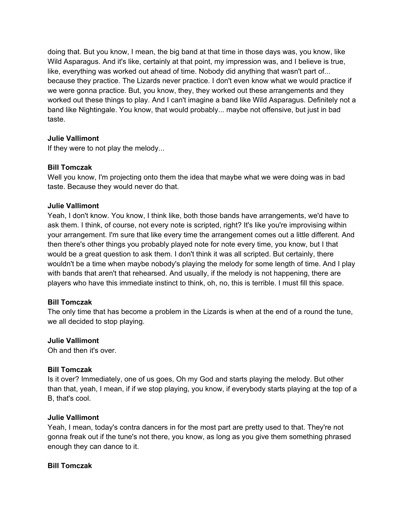doing that. But you know, I mean, the big band at that time in those days was, you know, like Wild Asparagus. And it's like, certainly at that point, my impression was, and I believe is true, like, everything was worked out ahead of time. Nobody did anything that wasn't part of... because they practice. The Lizards never practice. I don't even know what we would practice if we were gonna practice. But, you know, they, they worked out these arrangements and they worked out these things to play. And I can't imagine a band like Wild Asparagus. Definitely not a band like Nightingale. You know, that would probably... maybe not offensive, but just in bad taste.

## **Julie Vallimont**

If they were to not play the melody...

## **Bill Tomczak**

Well you know, I'm projecting onto them the idea that maybe what we were doing was in bad taste. Because they would never do that.

## **Julie Vallimont**

Yeah, I don't know. You know, I think like, both those bands have arrangements, we'd have to ask them. I think, of course, not every note is scripted, right? It's like you're improvising within your arrangement. I'm sure that like every time the arrangement comes out a little different. And then there's other things you probably played note for note every time, you know, but I that would be a great question to ask them. I don't think it was all scripted. But certainly, there wouldn't be a time when maybe nobody's playing the melody for some length of time. And I play with bands that aren't that rehearsed. And usually, if the melody is not happening, there are players who have this immediate instinct to think, oh, no, this is terrible. I must fill this space.

## **Bill Tomczak**

The only time that has become a problem in the Lizards is when at the end of a round the tune, we all decided to stop playing.

## **Julie Vallimont**

Oh and then it's over.

## **Bill Tomczak**

Is it over? Immediately, one of us goes, Oh my God and starts playing the melody. But other than that, yeah, I mean, if if we stop playing, you know, if everybody starts playing at the top of a B, that's cool.

## **Julie Vallimont**

Yeah, I mean, today's contra dancers in for the most part are pretty used to that. They're not gonna freak out if the tune's not there, you know, as long as you give them something phrased enough they can dance to it.

## **Bill Tomczak**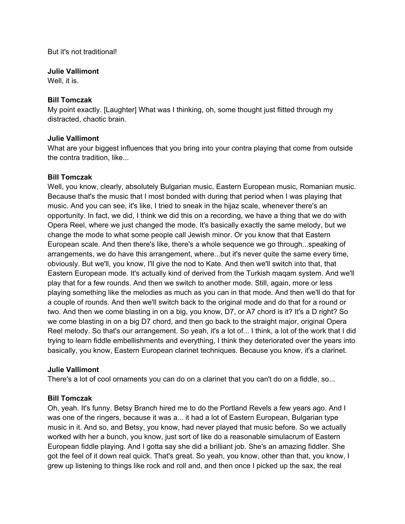But it's not traditional!

#### **Julie Vallimont**

Well, it is.

#### **Bill Tomczak**

My point exactly. [Laughter] What was I thinking, oh, some thought just flitted through my distracted, chaotic brain.

## **Julie Vallimont**

What are your biggest influences that you bring into your contra playing that come from outside the contra tradition, like...

## **Bill Tomczak**

Well, you know, clearly, absolutely Bulgarian music, Eastern European music, Romanian music. Because that's the music that I most bonded with during that period when I was playing that music. And you can see, it's like, I tried to sneak in the hijaz scale, whenever there's an opportunity. In fact, we did, I think we did this on a recording, we have a thing that we do with Opera Reel, where we just changed the mode. It's basically exactly the same melody, but we change the mode to what some people call Jewish minor. Or you know that that Eastern European scale. And then there's like, there's a whole sequence we go through...speaking of arrangements, we do have this arrangement, where...but it's never quite the same every time, obviously. But we'll, you know, I'll give the nod to Kate. And then we'll switch into that, that Eastern European mode. It's actually kind of derived from the Turkish maqam system. And we'll play that for a few rounds. And then we switch to another mode. Still, again, more or less playing something like the melodies as much as you can in that mode. And then we'll do that for a couple of rounds. And then we'll switch back to the original mode and do that for a round or two. And then we come blasting in on a big, you know, D7, or A7 chord is it? It's a D right? So we come blasting in on a big D7 chord, and then go back to the straight major, original Opera Reel melody. So that's our arrangement. So yeah, it's a lot of... I think, a lot of the work that I did trying to learn fiddle embellishments and everything, I think they deteriorated over the years into basically, you know, Eastern European clarinet techniques. Because you know, it's a clarinet.

## **Julie Vallimont**

There's a lot of cool ornaments you can do on a clarinet that you can't do on a fiddle, so...

## **Bill Tomczak**

Oh, yeah. It's funny. Betsy Branch hired me to do the Portland Revels a few years ago. And I was one of the ringers, because it was a... it had a lot of Eastern European, Bulgarian type music in it. And so, and Betsy, you know, had never played that music before. So we actually worked with her a bunch, you know, just sort of like do a reasonable simulacrum of Eastern European fiddle playing. And I gotta say she did a brilliant job. She's an amazing fiddler. She got the feel of it down real quick. That's great. So yeah, you know, other than that, you know, I grew up listening to things like rock and roll and, and then once I picked up the sax, the real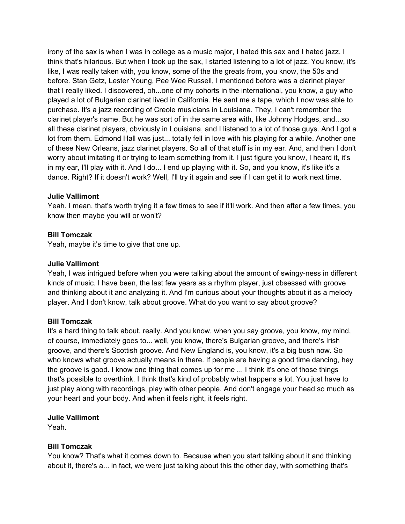irony of the sax is when I was in college as a music major, I hated this sax and I hated jazz. I think that's hilarious. But when I took up the sax, I started listening to a lot of jazz. You know, it's like, I was really taken with, you know, some of the the greats from, you know, the 50s and before. Stan Getz, Lester Young, Pee Wee Russell, I mentioned before was a clarinet player that I really liked. I discovered, oh...one of my cohorts in the international, you know, a guy who played a lot of Bulgarian clarinet lived in California. He sent me a tape, which I now was able to purchase. It's a jazz recording of Creole musicians in Louisiana. They, I can't remember the clarinet player's name. But he was sort of in the same area with, like Johnny Hodges, and...so all these clarinet players, obviously in Louisiana, and I listened to a lot of those guys. And I got a lot from them. Edmond Hall was just... totally fell in love with his playing for a while. Another one of these New Orleans, jazz clarinet players. So all of that stuff is in my ear. And, and then I don't worry about imitating it or trying to learn something from it. I just figure you know, I heard it, it's in my ear, I'll play with it. And I do... I end up playing with it. So, and you know, it's like it's a dance. Right? If it doesn't work? Well, I'll try it again and see if I can get it to work next time.

## **Julie Vallimont**

Yeah. I mean, that's worth trying it a few times to see if it'll work. And then after a few times, you know then maybe you will or won't?

#### **Bill Tomczak**

Yeah, maybe it's time to give that one up.

#### **Julie Vallimont**

Yeah, I was intrigued before when you were talking about the amount of swingy-ness in different kinds of music. I have been, the last few years as a rhythm player, just obsessed with groove and thinking about it and analyzing it. And I'm curious about your thoughts about it as a melody player. And I don't know, talk about groove. What do you want to say about groove?

#### **Bill Tomczak**

It's a hard thing to talk about, really. And you know, when you say groove, you know, my mind, of course, immediately goes to... well, you know, there's Bulgarian groove, and there's Irish groove, and there's Scottish groove. And New England is, you know, it's a big bush now. So who knows what groove actually means in there. If people are having a good time dancing, hey the groove is good. I know one thing that comes up for me ... I think it's one of those things that's possible to overthink. I think that's kind of probably what happens a lot. You just have to just play along with recordings, play with other people. And don't engage your head so much as your heart and your body. And when it feels right, it feels right.

#### **Julie Vallimont**

Yeah.

## **Bill Tomczak**

You know? That's what it comes down to. Because when you start talking about it and thinking about it, there's a... in fact, we were just talking about this the other day, with something that's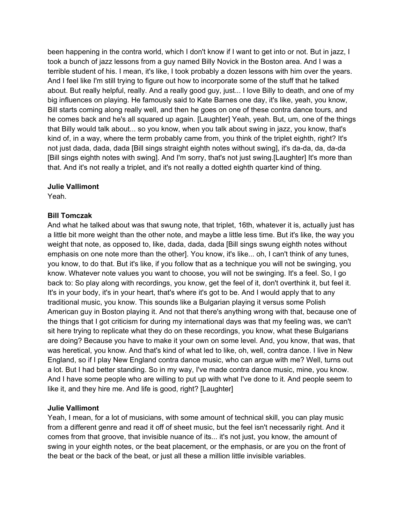been happening in the contra world, which I don't know if I want to get into or not. But in jazz, I took a bunch of jazz lessons from a guy named Billy Novick in the Boston area. And I was a terrible student of his. I mean, it's like, I took probably a dozen lessons with him over the years. And I feel like I'm still trying to figure out how to incorporate some of the stuff that he talked about. But really helpful, really. And a really good guy, just... I love Billy to death, and one of my big influences on playing. He famously said to Kate Barnes one day, it's like, yeah, you know, Bill starts coming along really well, and then he goes on one of these contra dance tours, and he comes back and he's all squared up again. [Laughter] Yeah, yeah. But, um, one of the things that Billy would talk about... so you know, when you talk about swing in jazz, you know, that's kind of, in a way, where the term probably came from, you think of the triplet eighth, right? It's not just dada, dada, dada [Bill sings straight eighth notes without swing], it's da-da, da, da-da [Bill sings eighth notes with swing]. And I'm sorry, that's not just swing.[Laughter] It's more than that. And it's not really a triplet, and it's not really a dotted eighth quarter kind of thing.

#### **Julie Vallimont**

Yeah.

## **Bill Tomczak**

And what he talked about was that swung note, that triplet, 16th, whatever it is, actually just has a little bit more weight than the other note, and maybe a little less time. But it's like, the way you weight that note, as opposed to, like, dada, dada, dada [Bill sings swung eighth notes without emphasis on one note more than the other]. You know, it's like... oh, I can't think of any tunes, you know, to do that. But it's like, if you follow that as a technique you will not be swinging, you know. Whatever note values you want to choose, you will not be swinging. It's a feel. So, I go back to: So play along with recordings, you know, get the feel of it, don't overthink it, but feel it. It's in your body, it's in your heart, that's where it's got to be. And I would apply that to any traditional music, you know. This sounds like a Bulgarian playing it versus some Polish American guy in Boston playing it. And not that there's anything wrong with that, because one of the things that I got criticism for during my international days was that my feeling was, we can't sit here trying to replicate what they do on these recordings, you know, what these Bulgarians are doing? Because you have to make it your own on some level. And, you know, that was, that was heretical, you know. And that's kind of what led to like, oh, well, contra dance. I live in New England, so if I play New England contra dance music, who can argue with me? Well, turns out a lot. But I had better standing. So in my way, I've made contra dance music, mine, you know. And I have some people who are willing to put up with what I've done to it. And people seem to like it, and they hire me. And life is good, right? [Laughter]

## **Julie Vallimont**

Yeah, I mean, for a lot of musicians, with some amount of technical skill, you can play music from a different genre and read it off of sheet music, but the feel isn't necessarily right. And it comes from that groove, that invisible nuance of its... it's not just, you know, the amount of swing in your eighth notes, or the beat placement, or the emphasis, or are you on the front of the beat or the back of the beat, or just all these a million little invisible variables.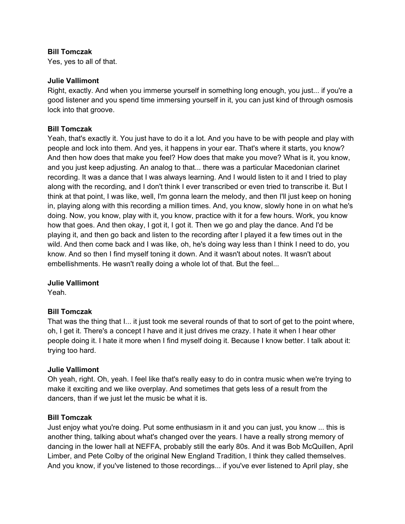#### **Bill Tomczak**

Yes, yes to all of that.

#### **Julie Vallimont**

Right, exactly. And when you immerse yourself in something long enough, you just... if you're a good listener and you spend time immersing yourself in it, you can just kind of through osmosis lock into that groove.

#### **Bill Tomczak**

Yeah, that's exactly it. You just have to do it a lot. And you have to be with people and play with people and lock into them. And yes, it happens in your ear. That's where it starts, you know? And then how does that make you feel? How does that make you move? What is it, you know, and you just keep adjusting. An analog to that... there was a particular Macedonian clarinet recording. It was a dance that I was always learning. And I would listen to it and I tried to play along with the recording, and I don't think I ever transcribed or even tried to transcribe it. But I think at that point, I was like, well, I'm gonna learn the melody, and then I'll just keep on honing in, playing along with this recording a million times. And, you know, slowly hone in on what he's doing. Now, you know, play with it, you know, practice with it for a few hours. Work, you know how that goes. And then okay, I got it, I got it. Then we go and play the dance. And I'd be playing it, and then go back and listen to the recording after I played it a few times out in the wild. And then come back and I was like, oh, he's doing way less than I think I need to do, you know. And so then I find myself toning it down. And it wasn't about notes. It wasn't about embellishments. He wasn't really doing a whole lot of that. But the feel...

#### **Julie Vallimont**

Yeah.

## **Bill Tomczak**

That was the thing that I... it just took me several rounds of that to sort of get to the point where, oh, I get it. There's a concept I have and it just drives me crazy. I hate it when I hear other people doing it. I hate it more when I find myself doing it. Because I know better. I talk about it: trying too hard.

#### **Julie Vallimont**

Oh yeah, right. Oh, yeah. I feel like that's really easy to do in contra music when we're trying to make it exciting and we like overplay. And sometimes that gets less of a result from the dancers, than if we just let the music be what it is.

#### **Bill Tomczak**

Just enjoy what you're doing. Put some enthusiasm in it and you can just, you know ... this is another thing, talking about what's changed over the years. I have a really strong memory of dancing in the lower hall at NEFFA, probably still the early 80s. And it was Bob McQuillen, April Limber, and Pete Colby of the original New England Tradition, I think they called themselves. And you know, if you've listened to those recordings... if you've ever listened to April play, she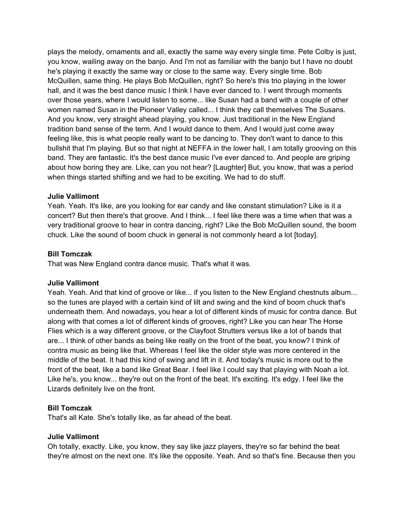plays the melody, ornaments and all, exactly the same way every single time. Pete Colby is just, you know, wailing away on the banjo. And I'm not as familiar with the banjo but I have no doubt he's playing it exactly the same way or close to the same way. Every single time. Bob McQuillen, same thing. He plays Bob McQuillen, right? So here's this trio playing in the lower hall, and it was the best dance music I think I have ever danced to. I went through moments over those years, where I would listen to some... like Susan had a band with a couple of other women named Susan in the Pioneer Valley called... I think they call themselves The Susans. And you know, very straight ahead playing, you know. Just traditional in the New England tradition band sense of the term. And I would dance to them. And I would just come away feeling like, this is what people really want to be dancing to. They don't want to dance to this bullshit that I'm playing. But so that night at NEFFA in the lower hall, I am totally grooving on this band. They are fantastic. It's the best dance music I've ever danced to. And people are griping about how boring they are. Like, can you not hear? [Laughter] But, you know, that was a period when things started shifting and we had to be exciting. We had to do stuff.

## **Julie Vallimont**

Yeah. Yeah. It's like, are you looking for ear candy and like constant stimulation? Like is it a concert? But then there's that groove. And I think... I feel like there was a time when that was a very traditional groove to hear in contra dancing, right? Like the Bob McQuillen sound, the boom chuck. Like the sound of boom chuck in general is not commonly heard a lot [today].

#### **Bill Tomczak**

That was New England contra dance music. That's what it was.

#### **Julie Vallimont**

Yeah. Yeah. And that kind of groove or like... if you listen to the New England chestnuts album... so the tunes are played with a certain kind of lilt and swing and the kind of boom chuck that's underneath them. And nowadays, you hear a lot of different kinds of music for contra dance. But along with that comes a lot of different kinds of grooves, right? Like you can hear The Horse Flies which is a way different groove, or the Clayfoot Strutters versus like a lot of bands that are... I think of other bands as being like really on the front of the beat, you know? I think of contra music as being like that. Whereas I feel like the older style was more centered in the middle of the beat. It had this kind of swing and lift in it. And today's music is more out to the front of the beat, like a band like Great Bear. I feel like I could say that playing with Noah a lot. Like he's, you know... they're out on the front of the beat. It's exciting. It's edgy. I feel like the Lizards definitely live on the front.

## **Bill Tomczak**

That's all Kate. She's totally like, as far ahead of the beat.

#### **Julie Vallimont**

Oh totally, exactly. Like, you know, they say like jazz players, they're so far behind the beat they're almost on the next one. It's like the opposite. Yeah. And so that's fine. Because then you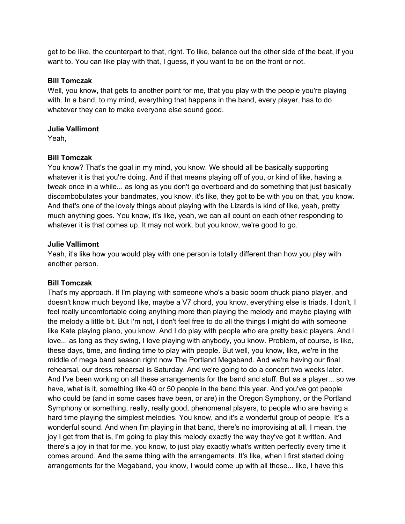get to be like, the counterpart to that, right. To like, balance out the other side of the beat, if you want to. You can like play with that, I guess, if you want to be on the front or not.

#### **Bill Tomczak**

Well, you know, that gets to another point for me, that you play with the people you're playing with. In a band, to my mind, everything that happens in the band, every player, has to do whatever they can to make everyone else sound good.

#### **Julie Vallimont**

Yeah,

## **Bill Tomczak**

You know? That's the goal in my mind, you know. We should all be basically supporting whatever it is that you're doing. And if that means playing off of you, or kind of like, having a tweak once in a while... as long as you don't go overboard and do something that just basically discombobulates your bandmates, you know, it's like, they got to be with you on that, you know. And that's one of the lovely things about playing with the Lizards is kind of like, yeah, pretty much anything goes. You know, it's like, yeah, we can all count on each other responding to whatever it is that comes up. It may not work, but you know, we're good to go.

## **Julie Vallimont**

Yeah, it's like how you would play with one person is totally different than how you play with another person.

## **Bill Tomczak**

That's my approach. If I'm playing with someone who's a basic boom chuck piano player, and doesn't know much beyond like, maybe a V7 chord, you know, everything else is triads, I don't, I feel really uncomfortable doing anything more than playing the melody and maybe playing with the melody a little bit. But I'm not, I don't feel free to do all the things I might do with someone like Kate playing piano, you know. And I do play with people who are pretty basic players. And I love... as long as they swing, I love playing with anybody, you know. Problem, of course, is like, these days, time, and finding time to play with people. But well, you know, like, we're in the middle of mega band season right now The Portland Megaband. And we're having our final rehearsal, our dress rehearsal is Saturday. And we're going to do a concert two weeks later. And I've been working on all these arrangements for the band and stuff. But as a player... so we have, what is it, something like 40 or 50 people in the band this year. And you've got people who could be (and in some cases have been, or are) in the Oregon Symphony, or the Portland Symphony or something, really, really good, phenomenal players, to people who are having a hard time playing the simplest melodies. You know, and it's a wonderful group of people. It's a wonderful sound. And when I'm playing in that band, there's no improvising at all. I mean, the joy I get from that is, I'm going to play this melody exactly the way they've got it written. And there's a joy in that for me, you know, to just play exactly what's written perfectly every time it comes around. And the same thing with the arrangements. It's like, when I first started doing arrangements for the Megaband, you know, I would come up with all these... like, I have this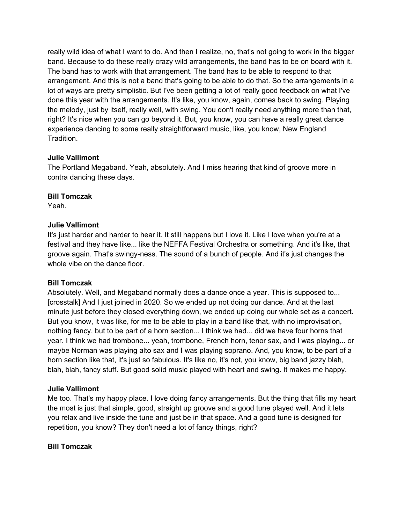really wild idea of what I want to do. And then I realize, no, that's not going to work in the bigger band. Because to do these really crazy wild arrangements, the band has to be on board with it. The band has to work with that arrangement. The band has to be able to respond to that arrangement. And this is not a band that's going to be able to do that. So the arrangements in a lot of ways are pretty simplistic. But I've been getting a lot of really good feedback on what I've done this year with the arrangements. It's like, you know, again, comes back to swing. Playing the melody, just by itself, really well, with swing. You don't really need anything more than that, right? It's nice when you can go beyond it. But, you know, you can have a really great dance experience dancing to some really straightforward music, like, you know, New England **Tradition** 

## **Julie Vallimont**

The Portland Megaband. Yeah, absolutely. And I miss hearing that kind of groove more in contra dancing these days.

## **Bill Tomczak**

Yeah.

## **Julie Vallimont**

It's just harder and harder to hear it. It still happens but I love it. Like I love when you're at a festival and they have like... like the NEFFA Festival Orchestra or something. And it's like, that groove again. That's swingy-ness. The sound of a bunch of people. And it's just changes the whole vibe on the dance floor.

## **Bill Tomczak**

Absolutely. Well, and Megaband normally does a dance once a year. This is supposed to... [crosstalk] And I just joined in 2020. So we ended up not doing our dance. And at the last minute just before they closed everything down, we ended up doing our whole set as a concert. But you know, it was like, for me to be able to play in a band like that, with no improvisation, nothing fancy, but to be part of a horn section... I think we had... did we have four horns that year. I think we had trombone... yeah, trombone, French horn, tenor sax, and I was playing... or maybe Norman was playing alto sax and I was playing soprano. And, you know, to be part of a horn section like that, it's just so fabulous. It's like no, it's not, you know, big band jazzy blah, blah, blah, fancy stuff. But good solid music played with heart and swing. It makes me happy.

## **Julie Vallimont**

Me too. That's my happy place. I love doing fancy arrangements. But the thing that fills my heart the most is just that simple, good, straight up groove and a good tune played well. And it lets you relax and live inside the tune and just be in that space. And a good tune is designed for repetition, you know? They don't need a lot of fancy things, right?

## **Bill Tomczak**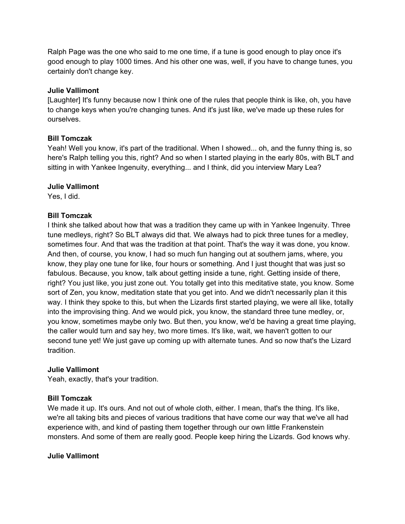Ralph Page was the one who said to me one time, if a tune is good enough to play once it's good enough to play 1000 times. And his other one was, well, if you have to change tunes, you certainly don't change key.

#### **Julie Vallimont**

[Laughter] It's funny because now I think one of the rules that people think is like, oh, you have to change keys when you're changing tunes. And it's just like, we've made up these rules for ourselves.

#### **Bill Tomczak**

Yeah! Well you know, it's part of the traditional. When I showed... oh, and the funny thing is, so here's Ralph telling you this, right? And so when I started playing in the early 80s, with BLT and sitting in with Yankee Ingenuity, everything... and I think, did you interview Mary Lea?

#### **Julie Vallimont**

Yes, I did.

## **Bill Tomczak**

I think she talked about how that was a tradition they came up with in Yankee Ingenuity. Three tune medleys, right? So BLT always did that. We always had to pick three tunes for a medley, sometimes four. And that was the tradition at that point. That's the way it was done, you know. And then, of course, you know, I had so much fun hanging out at southern jams, where, you know, they play one tune for like, four hours or something. And I just thought that was just so fabulous. Because, you know, talk about getting inside a tune, right. Getting inside of there, right? You just like, you just zone out. You totally get into this meditative state, you know. Some sort of Zen, you know, meditation state that you get into. And we didn't necessarily plan it this way. I think they spoke to this, but when the Lizards first started playing, we were all like, totally into the improvising thing. And we would pick, you know, the standard three tune medley, or, you know, sometimes maybe only two. But then, you know, we'd be having a great time playing, the caller would turn and say hey, two more times. It's like, wait, we haven't gotten to our second tune yet! We just gave up coming up with alternate tunes. And so now that's the Lizard tradition.

#### **Julie Vallimont**

Yeah, exactly, that's your tradition.

#### **Bill Tomczak**

We made it up. It's ours. And not out of whole cloth, either. I mean, that's the thing. It's like, we're all taking bits and pieces of various traditions that have come our way that we've all had experience with, and kind of pasting them together through our own little Frankenstein monsters. And some of them are really good. People keep hiring the Lizards. God knows why.

#### **Julie Vallimont**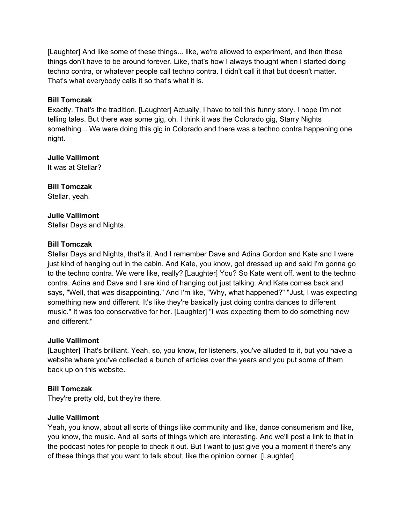[Laughter] And like some of these things... like, we're allowed to experiment, and then these things don't have to be around forever. Like, that's how I always thought when I started doing techno contra, or whatever people call techno contra. I didn't call it that but doesn't matter. That's what everybody calls it so that's what it is.

## **Bill Tomczak**

Exactly. That's the tradition. [Laughter] Actually, I have to tell this funny story. I hope I'm not telling tales. But there was some gig, oh, I think it was the Colorado gig, Starry Nights something... We were doing this gig in Colorado and there was a techno contra happening one night.

**Julie Vallimont** 

It was at Stellar?

**Bill Tomczak** 

Stellar, yeah.

## **Julie Vallimont**

Stellar Days and Nights.

## **Bill Tomczak**

Stellar Days and Nights, that's it. And I remember Dave and Adina Gordon and Kate and I were just kind of hanging out in the cabin. And Kate, you know, got dressed up and said I'm gonna go to the techno contra. We were like, really? [Laughter] You? So Kate went off, went to the techno contra. Adina and Dave and I are kind of hanging out just talking. And Kate comes back and says, "Well, that was disappointing." And I'm like, "Why, what happened?" "Just, I was expecting something new and different. It's like they're basically just doing contra dances to different music." It was too conservative for her. [Laughter] "I was expecting them to do something new and different."

## **Julie Vallimont**

[Laughter] That's brilliant. Yeah, so, you know, for listeners, you've alluded to it, but you have a website where you've collected a bunch of articles over the years and you put some of them back up on this website.

## **Bill Tomczak**

They're pretty old, but they're there.

## **Julie Vallimont**

Yeah, you know, about all sorts of things like community and like, dance consumerism and like, you know, the music. And all sorts of things which are interesting. And we'll post a link to that in the podcast notes for people to check it out. But I want to just give you a moment if there's any of these things that you want to talk about, like the opinion corner. [Laughter]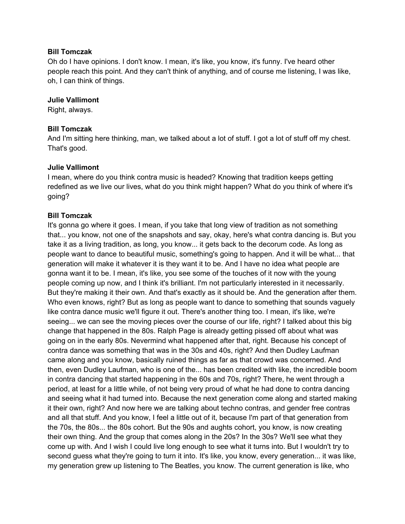#### **Bill Tomczak**

Oh do I have opinions. I don't know. I mean, it's like, you know, it's funny. I've heard other people reach this point. And they can't think of anything, and of course me listening, I was like, oh, I can think of things.

#### **Julie Vallimont**

Right, always.

#### **Bill Tomczak**

And I'm sitting here thinking, man, we talked about a lot of stuff. I got a lot of stuff off my chest. That's good.

#### **Julie Vallimont**

I mean, where do you think contra music is headed? Knowing that tradition keeps getting redefined as we live our lives, what do you think might happen? What do you think of where it's going?

#### **Bill Tomczak**

It's gonna go where it goes. I mean, if you take that long view of tradition as not something that... you know, not one of the snapshots and say, okay, here's what contra dancing is. But you take it as a living tradition, as long, you know... it gets back to the decorum code. As long as people want to dance to beautiful music, something's going to happen. And it will be what... that generation will make it whatever it is they want it to be. And I have no idea what people are gonna want it to be. I mean, it's like, you see some of the touches of it now with the young people coming up now, and I think it's brilliant. I'm not particularly interested in it necessarily. But they're making it their own. And that's exactly as it should be. And the generation after them. Who even knows, right? But as long as people want to dance to something that sounds vaguely like contra dance music we'll figure it out. There's another thing too. I mean, it's like, we're seeing... we can see the moving pieces over the course of our life, right? I talked about this big change that happened in the 80s. Ralph Page is already getting pissed off about what was going on in the early 80s. Nevermind what happened after that, right. Because his concept of contra dance was something that was in the 30s and 40s, right? And then Dudley Laufman came along and you know, basically ruined things as far as that crowd was concerned. And then, even Dudley Laufman, who is one of the... has been credited with like, the incredible boom in contra dancing that started happening in the 60s and 70s, right? There, he went through a period, at least for a little while, of not being very proud of what he had done to contra dancing and seeing what it had turned into. Because the next generation come along and started making it their own, right? And now here we are talking about techno contras, and gender free contras and all that stuff. And you know, I feel a little out of it, because I'm part of that generation from the 70s, the 80s... the 80s cohort. But the 90s and aughts cohort, you know, is now creating their own thing. And the group that comes along in the 20s? In the 30s? We'll see what they come up with. And I wish I could live long enough to see what it turns into. But I wouldn't try to second guess what they're going to turn it into. It's like, you know, every generation... it was like, my generation grew up listening to The Beatles, you know. The current generation is like, who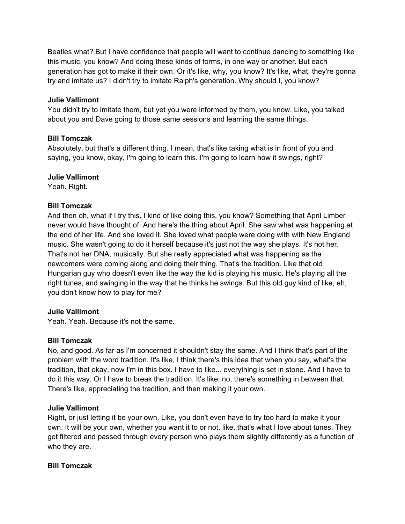Beatles what? But I have confidence that people will want to continue dancing to something like this music, you know? And doing these kinds of forms, in one way or another. But each generation has got to make it their own. Or it's like, why, you know? It's like, what, they're gonna try and imitate us? I didn't try to imitate Ralph's generation. Why should I, you know?

## **Julie Vallimont**

You didn't try to imitate them, but yet you were informed by them, you know. Like, you talked about you and Dave going to those same sessions and learning the same things.

## **Bill Tomczak**

Absolutely, but that's a different thing. I mean, that's like taking what is in front of you and saying, you know, okay, I'm going to learn this. I'm going to learn how it swings, right?

## **Julie Vallimont**

Yeah. Right.

## **Bill Tomczak**

And then oh, what if I try this. I kind of like doing this, you know? Something that April Limber never would have thought of. And here's the thing about April. She saw what was happening at the end of her life. And she loved it. She loved what people were doing with with New England music. She wasn't going to do it herself because it's just not the way she plays. It's not her. That's not her DNA, musically. But she really appreciated what was happening as the newcomers were coming along and doing their thing. That's the tradition. Like that old Hungarian guy who doesn't even like the way the kid is playing his music. He's playing all the right tunes, and swinging in the way that he thinks he swings. But this old guy kind of like, eh, you don't know how to play for me?

## **Julie Vallimont**

Yeah. Yeah. Because it's not the same.

## **Bill Tomczak**

No, and good. As far as I'm concerned it shouldn't stay the same. And I think that's part of the problem with the word tradition. It's like, I think there's this idea that when you say, what's the tradition, that okay, now I'm in this box. I have to like... everything is set in stone. And I have to do it this way. Or I have to break the tradition. It's like, no, there's something in between that. There's like, appreciating the tradition, and then making it your own.

## **Julie Vallimont**

Right, or just letting it be your own. Like, you don't even have to try too hard to make it your own. It will be your own, whether you want it to or not, like, that's what I love about tunes. They get filtered and passed through every person who plays them slightly differently as a function of who they are.

## **Bill Tomczak**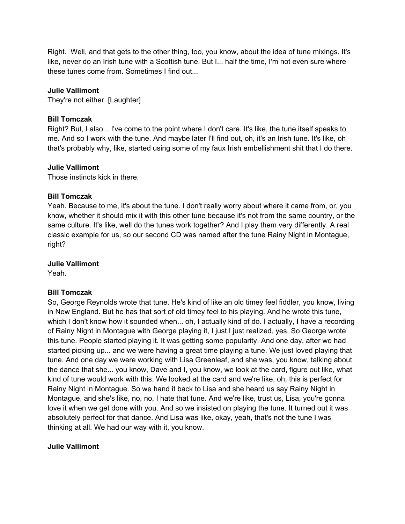Right. Well, and that gets to the other thing, too, you know, about the idea of tune mixings. It's like, never do an Irish tune with a Scottish tune. But I... half the time, I'm not even sure where these tunes come from. Sometimes I find out...

## **Julie Vallimont**

They're not either. [Laughter]

## **Bill Tomczak**

Right? But, I also... I've come to the point where I don't care. It's like, the tune itself speaks to me. And so I work with the tune. And maybe later I'll find out, oh, it's an Irish tune. It's like, oh that's probably why, like, started using some of my faux Irish embellishment shit that I do there.

## **Julie Vallimont**

Those instincts kick in there.

## **Bill Tomczak**

Yeah. Because to me, it's about the tune. I don't really worry about where it came from, or, you know, whether it should mix it with this other tune because it's not from the same country, or the same culture. It's like, well do the tunes work together? And I play them very differently. A real classic example for us, so our second CD was named after the tune Rainy Night in Montague, right?

#### **Julie Vallimont**

Yeah.

## **Bill Tomczak**

So, George Reynolds wrote that tune. He's kind of like an old timey feel fiddler, you know, living in New England. But he has that sort of old timey feel to his playing. And he wrote this tune, which I don't know how it sounded when... oh, I actually kind of do. I actually, I have a recording of Rainy Night in Montague with George playing it, I just I just realized, yes. So George wrote this tune. People started playing it. It was getting some popularity. And one day, after we had started picking up... and we were having a great time playing a tune. We just loved playing that tune. And one day we were working with Lisa Greenleaf, and she was, you know, talking about the dance that she... you know, Dave and I, you know, we look at the card, figure out like, what kind of tune would work with this. We looked at the card and we're like, oh, this is perfect for Rainy Night in Montague. So we hand it back to Lisa and she heard us say Rainy Night in Montague, and she's like, no, no, I hate that tune. And we're like, trust us, Lisa, you're gonna love it when we get done with you. And so we insisted on playing the tune. It turned out it was absolutely perfect for that dance. And Lisa was like, okay, yeah, that's not the tune I was thinking at all. We had our way with it, you know.

## **Julie Vallimont**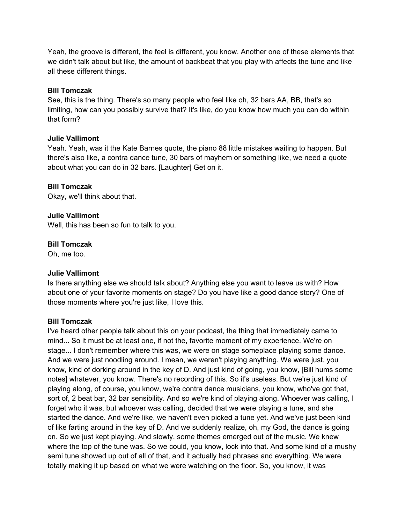Yeah, the groove is different, the feel is different, you know. Another one of these elements that we didn't talk about but like, the amount of backbeat that you play with affects the tune and like all these different things.

#### **Bill Tomczak**

See, this is the thing. There's so many people who feel like oh, 32 bars AA, BB, that's so limiting, how can you possibly survive that? It's like, do you know how much you can do within that form?

## **Julie Vallimont**

Yeah. Yeah, was it the Kate Barnes quote, the piano 88 little mistakes waiting to happen. But there's also like, a contra dance tune, 30 bars of mayhem or something like, we need a quote about what you can do in 32 bars. [Laughter] Get on it.

#### **Bill Tomczak**

Okay, we'll think about that.

#### **Julie Vallimont**

Well, this has been so fun to talk to you.

#### **Bill Tomczak**

Oh, me too.

#### **Julie Vallimont**

Is there anything else we should talk about? Anything else you want to leave us with? How about one of your favorite moments on stage? Do you have like a good dance story? One of those moments where you're just like, I love this.

#### **Bill Tomczak**

I've heard other people talk about this on your podcast, the thing that immediately came to mind... So it must be at least one, if not the, favorite moment of my experience. We're on stage... I don't remember where this was, we were on stage someplace playing some dance. And we were just noodling around. I mean, we weren't playing anything. We were just, you know, kind of dorking around in the key of D. And just kind of going, you know, [Bill hums some notes] whatever, you know. There's no recording of this. So it's useless. But we're just kind of playing along, of course, you know, we're contra dance musicians, you know, who've got that, sort of, 2 beat bar, 32 bar sensibility. And so we're kind of playing along. Whoever was calling, I forget who it was, but whoever was calling, decided that we were playing a tune, and she started the dance. And we're like, we haven't even picked a tune yet. And we've just been kind of like farting around in the key of D. And we suddenly realize, oh, my God, the dance is going on. So we just kept playing. And slowly, some themes emerged out of the music. We knew where the top of the tune was. So we could, you know, lock into that. And some kind of a mushy semi tune showed up out of all of that, and it actually had phrases and everything. We were totally making it up based on what we were watching on the floor. So, you know, it was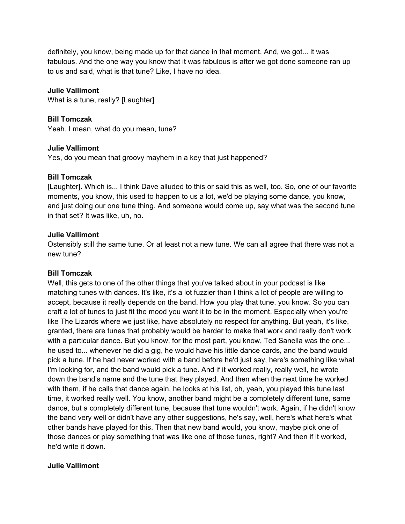definitely, you know, being made up for that dance in that moment. And, we got... it was fabulous. And the one way you know that it was fabulous is after we got done someone ran up to us and said, what is that tune? Like, I have no idea.

## **Julie Vallimont**

What is a tune, really? [Laughter]

#### **Bill Tomczak**

Yeah. I mean, what do you mean, tune?

#### **Julie Vallimont**

Yes, do you mean that groovy mayhem in a key that just happened?

#### **Bill Tomczak**

[Laughter]. Which is... I think Dave alluded to this or said this as well, too. So, one of our favorite moments, you know, this used to happen to us a lot, we'd be playing some dance, you know, and just doing our one tune thing. And someone would come up, say what was the second tune in that set? It was like, uh, no.

#### **Julie Vallimont**

Ostensibly still the same tune. Or at least not a new tune. We can all agree that there was not a new tune?

#### **Bill Tomczak**

Well, this gets to one of the other things that you've talked about in your podcast is like matching tunes with dances. It's like, it's a lot fuzzier than I think a lot of people are willing to accept, because it really depends on the band. How you play that tune, you know. So you can craft a lot of tunes to just fit the mood you want it to be in the moment. Especially when you're like The Lizards where we just like, have absolutely no respect for anything. But yeah, it's like, granted, there are tunes that probably would be harder to make that work and really don't work with a particular dance. But you know, for the most part, you know, Ted Sanella was the one... he used to... whenever he did a gig, he would have his little dance cards, and the band would pick a tune. If he had never worked with a band before he'd just say, here's something like what I'm looking for, and the band would pick a tune. And if it worked really, really well, he wrote down the band's name and the tune that they played. And then when the next time he worked with them, if he calls that dance again, he looks at his list, oh, yeah, you played this tune last time, it worked really well. You know, another band might be a completely different tune, same dance, but a completely different tune, because that tune wouldn't work. Again, if he didn't know the band very well or didn't have any other suggestions, he's say, well, here's what here's what other bands have played for this. Then that new band would, you know, maybe pick one of those dances or play something that was like one of those tunes, right? And then if it worked, he'd write it down.

## **Julie Vallimont**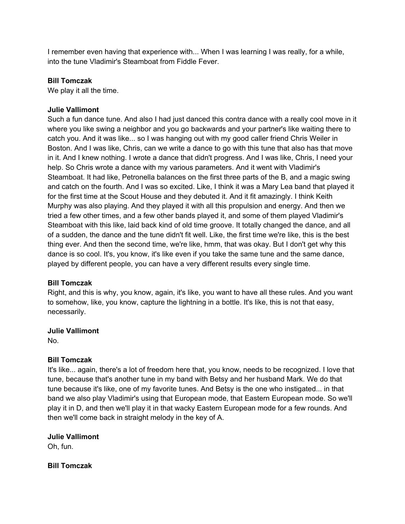I remember even having that experience with... When I was learning I was really, for a while, into the tune Vladimir's Steamboat from Fiddle Fever.

## **Bill Tomczak**

We play it all the time.

#### **Julie Vallimont**

Such a fun dance tune. And also I had just danced this contra dance with a really cool move in it where you like swing a neighbor and you go backwards and your partner's like waiting there to catch you. And it was like... so I was hanging out with my good caller friend Chris Weiler in Boston. And I was like, Chris, can we write a dance to go with this tune that also has that move in it. And I knew nothing. I wrote a dance that didn't progress. And I was like, Chris, I need your help. So Chris wrote a dance with my various parameters. And it went with Vladimir's Steamboat. It had like, Petronella balances on the first three parts of the B, and a magic swing and catch on the fourth. And I was so excited. Like, I think it was a Mary Lea band that played it for the first time at the Scout House and they debuted it. And it fit amazingly. I think Keith Murphy was also playing. And they played it with all this propulsion and energy. And then we tried a few other times, and a few other bands played it, and some of them played Vladimir's Steamboat with this like, laid back kind of old time groove. It totally changed the dance, and all of a sudden, the dance and the tune didn't fit well. Like, the first time we're like, this is the best thing ever. And then the second time, we're like, hmm, that was okay. But I don't get why this dance is so cool. It's, you know, it's like even if you take the same tune and the same dance, played by different people, you can have a very different results every single time.

## **Bill Tomczak**

Right, and this is why, you know, again, it's like, you want to have all these rules. And you want to somehow, like, you know, capture the lightning in a bottle. It's like, this is not that easy, necessarily.

#### **Julie Vallimont**

No.

## **Bill Tomczak**

It's like... again, there's a lot of freedom here that, you know, needs to be recognized. I love that tune, because that's another tune in my band with Betsy and her husband Mark. We do that tune because it's like, one of my favorite tunes. And Betsy is the one who instigated... in that band we also play Vladimir's using that European mode, that Eastern European mode. So we'll play it in D, and then we'll play it in that wacky Eastern European mode for a few rounds. And then we'll come back in straight melody in the key of A.

## **Julie Vallimont**

Oh, fun.

**Bill Tomczak**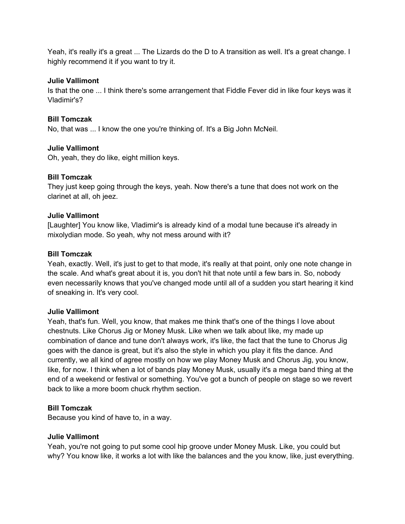Yeah, it's really it's a great ... The Lizards do the D to A transition as well. It's a great change. I highly recommend it if you want to try it.

#### **Julie Vallimont**

Is that the one ... I think there's some arrangement that Fiddle Fever did in like four keys was it Vladimir's?

#### **Bill Tomczak**

No, that was ... I know the one you're thinking of. It's a Big John McNeil.

#### **Julie Vallimont**

Oh, yeah, they do like, eight million keys.

#### **Bill Tomczak**

They just keep going through the keys, yeah. Now there's a tune that does not work on the clarinet at all, oh jeez.

#### **Julie Vallimont**

[Laughter] You know like, Vladimir's is already kind of a modal tune because it's already in mixolydian mode. So yeah, why not mess around with it?

#### **Bill Tomczak**

Yeah, exactly. Well, it's just to get to that mode, it's really at that point, only one note change in the scale. And what's great about it is, you don't hit that note until a few bars in. So, nobody even necessarily knows that you've changed mode until all of a sudden you start hearing it kind of sneaking in. It's very cool.

#### **Julie Vallimont**

Yeah, that's fun. Well, you know, that makes me think that's one of the things I love about chestnuts. Like Chorus Jig or Money Musk. Like when we talk about like, my made up combination of dance and tune don't always work, it's like, the fact that the tune to Chorus Jig goes with the dance is great, but it's also the style in which you play it fits the dance. And currently, we all kind of agree mostly on how we play Money Musk and Chorus Jig, you know, like, for now. I think when a lot of bands play Money Musk, usually it's a mega band thing at the end of a weekend or festival or something. You've got a bunch of people on stage so we revert back to like a more boom chuck rhythm section.

## **Bill Tomczak**

Because you kind of have to, in a way.

## **Julie Vallimont**

Yeah, you're not going to put some cool hip groove under Money Musk. Like, you could but why? You know like, it works a lot with like the balances and the you know, like, just everything.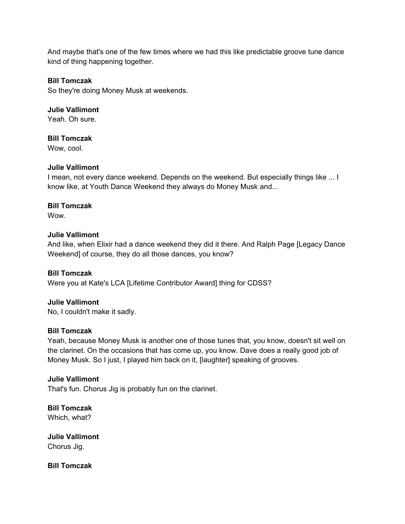And maybe that's one of the few times where we had this like predictable groove tune dance kind of thing happening together.

#### **Bill Tomczak**

So they're doing Money Musk at weekends.

**Julie Vallimont**  Yeah. Oh sure.

**Bill Tomczak**  Wow, cool.

#### **Julie Vallimont**

I mean, not every dance weekend. Depends on the weekend. But especially things like ... I know like, at Youth Dance Weekend they always do Money Musk and...

#### **Bill Tomczak**

**Wow.** 

#### **Julie Vallimont**

And like, when Elixir had a dance weekend they did it there. And Ralph Page [Legacy Dance Weekend] of course, they do all those dances, you know?

#### **Bill Tomczak**

Were you at Kate's LCA [Lifetime Contributor Award] thing for CDSS?

#### **Julie Vallimont**

No, I couldn't make it sadly.

#### **Bill Tomczak**

Yeah, because Money Musk is another one of those tunes that, you know, doesn't sit well on the clarinet. On the occasions that has come up, you know. Dave does a really good job of Money Musk. So I just, I played him back on it, [laughter] speaking of grooves.

## **Julie Vallimont**

That's fun. Chorus Jig is probably fun on the clarinet.

**Bill Tomczak**  Which, what?

**Julie Vallimont**  Chorus Jig.

**Bill Tomczak**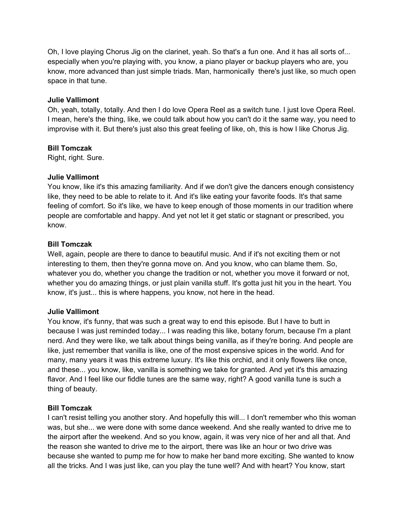Oh, I love playing Chorus Jig on the clarinet, yeah. So that's a fun one. And it has all sorts of... especially when you're playing with, you know, a piano player or backup players who are, you know, more advanced than just simple triads. Man, harmonically there's just like, so much open space in that tune.

## **Julie Vallimont**

Oh, yeah, totally, totally. And then I do love Opera Reel as a switch tune. I just love Opera Reel. I mean, here's the thing, like, we could talk about how you can't do it the same way, you need to improvise with it. But there's just also this great feeling of like, oh, this is how I like Chorus Jig.

#### **Bill Tomczak**

Right, right. Sure.

## **Julie Vallimont**

You know, like it's this amazing familiarity. And if we don't give the dancers enough consistency like, they need to be able to relate to it. And it's like eating your favorite foods. It's that same feeling of comfort. So it's like, we have to keep enough of those moments in our tradition where people are comfortable and happy. And yet not let it get static or stagnant or prescribed, you know.

#### **Bill Tomczak**

Well, again, people are there to dance to beautiful music. And if it's not exciting them or not interesting to them, then they're gonna move on. And you know, who can blame them. So, whatever you do, whether you change the tradition or not, whether you move it forward or not, whether you do amazing things, or just plain vanilla stuff. It's gotta just hit you in the heart. You know, it's just... this is where happens, you know, not here in the head.

## **Julie Vallimont**

You know, it's funny, that was such a great way to end this episode. But I have to butt in because I was just reminded today... I was reading this like, botany forum, because I'm a plant nerd. And they were like, we talk about things being vanilla, as if they're boring. And people are like, just remember that vanilla is like, one of the most expensive spices in the world. And for many, many years it was this extreme luxury. It's like this orchid, and it only flowers like once, and these... you know, like, vanilla is something we take for granted. And yet it's this amazing flavor. And I feel like our fiddle tunes are the same way, right? A good vanilla tune is such a thing of beauty.

## **Bill Tomczak**

I can't resist telling you another story. And hopefully this will... I don't remember who this woman was, but she... we were done with some dance weekend. And she really wanted to drive me to the airport after the weekend. And so you know, again, it was very nice of her and all that. And the reason she wanted to drive me to the airport, there was like an hour or two drive was because she wanted to pump me for how to make her band more exciting. She wanted to know all the tricks. And I was just like, can you play the tune well? And with heart? You know, start